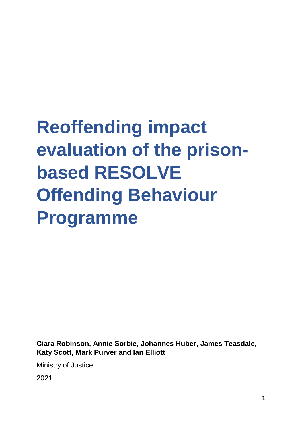# **Reoffending impact evaluation of the prisonbased RESOLVE Offending Behaviour Programme**

**Ciara Robinson, Annie Sorbie, Johannes Huber, James Teasdale, Katy Scott, Mark Purver and Ian Elliott** 

Ministry of Justice

2021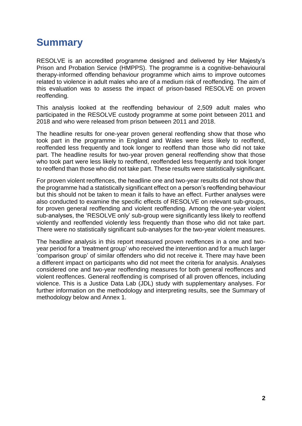# <span id="page-1-0"></span>**Summary**

RESOLVE is an accredited programme designed and delivered by Her Majesty's Prison and Probation Service (HMPPS). The programme is a cognitive-behavioural therapy-informed offending behaviour programme which aims to improve outcomes related to violence in adult males who are of a medium risk of reoffending. The aim of this evaluation was to assess the impact of prison-based RESOLVE on proven reoffending.

This analysis looked at the reoffending behaviour of 2,509 adult males who participated in the RESOLVE custody programme at some point between 2011 and 2018 and who were released from prison between 2011 and 2018.

The headline results for one-year proven general reoffending show that those who took part in the programme in England and Wales were less likely to reoffend, reoffended less frequently and took longer to reoffend than those who did not take part. The headline results for two-year proven general reoffending show that those who took part were less likely to reoffend, reoffended less frequently and took longer to reoffend than those who did not take part. These results were statistically significant.

For proven violent reoffences, the headline one and two-year results did not show that the programme had a statistically significant effect on a person's reoffending behaviour but this should not be taken to mean it fails to have an effect. Further analyses were also conducted to examine the specific effects of RESOLVE on relevant sub-groups, for proven general reoffending and violent reoffending. Among the one-year violent sub-analyses, the 'RESOLVE only' sub-group were significantly less likely to reoffend violently and reoffended violently less frequently than those who did not take part. There were no statistically significant sub-analyses for the two-year violent measures.

The headline analysis in this report measured proven reoffences in a one and twoyear period for a 'treatment group' who received the intervention and for a much larger 'comparison group' of similar offenders who did not receive it. There may have been a different impact on participants who did not meet the criteria for analysis. Analyses considered one and two-year reoffending measures for both general reoffences and violent reoffences. General reoffending is comprised of all proven offences, including violence. This is a Justice Data Lab (JDL) study with supplementary analyses. For further information on the methodology and interpreting results, see the Summary of methodology below and Annex 1.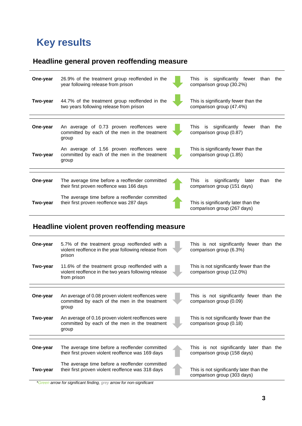# <span id="page-2-0"></span>**Key results**

# **Headline general proven reoffending measure**

| One-year | 26.9% of the treatment group reoffended in the<br>year following release from prison                | significantly fewer<br>This is<br>than<br>the<br>comparison group (30.2%) |
|----------|-----------------------------------------------------------------------------------------------------|---------------------------------------------------------------------------|
| Two-year | 44.7% of the treatment group reoffended in the<br>two years following release from prison           | This is significantly fewer than the<br>comparison group (47.4%)          |
| One-year | An average of 0.73 proven reoffences were<br>committed by each of the men in the treatment<br>group | This is significantly fewer<br>than<br>the<br>comparison group (0.87)     |
| Two-year | An average of 1.56 proven reoffences were<br>committed by each of the men in the treatment<br>group | This is significantly fewer than the<br>comparison group (1.85)           |
| One-year | The average time before a reoffender committed                                                      | significantly<br>later<br>than<br>This .<br>is<br>the                     |
|          | their first proven reoffence was 166 days                                                           | comparison group (151 days)                                               |
| Two-year | The average time before a reoffender committed<br>their first proven reoffence was 287 days         | This is significantly later than the<br>comparison group (267 days)       |

# **Headline violent proven reoffending measure**

| One-year | 5.7% of the treatment group reoffended with a<br>violent reoffence in the year following release from<br>prison       | This is not significantly fewer than the<br>comparison group (6.3%)     |
|----------|-----------------------------------------------------------------------------------------------------------------------|-------------------------------------------------------------------------|
| Two-year | 11.6% of the treatment group reoffended with a<br>violent reoffence in the two years following release<br>from prison | This is not significantly fewer than the<br>comparison group (12.0%)    |
| One-year | An average of 0.08 proven violent reoffences were<br>committed by each of the men in the treatment<br>group           | This is not significantly fewer than the<br>comparison group (0.09)     |
| Two-year | An average of 0.16 proven violent reoffences were<br>committed by each of the men in the treatment<br>group           | This is not significantly fewer than the<br>comparison group (0.18)     |
| One-year | The average time before a reoffender committed<br>their first proven violent reoffence was 169 days                   | This is not significantly later than the<br>comparison group (158 days) |
| Two-year | The average time before a reoffender committed<br>their first proven violent reoffence was 318 days                   | This is not significantly later than the<br>comparison group (303 days) |

*\*Green arrow for significant finding, grey arrow for non-significant*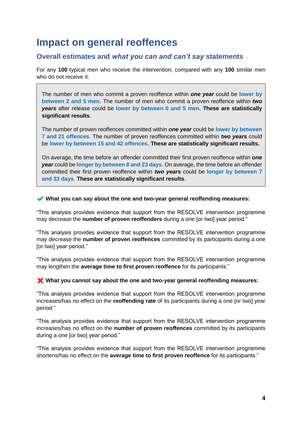# **Impact on general reoffences**

# **Overall estimates and** *what you can and can't say* **statements**

For any **100** typical men who receive the intervention, compared with any **100** similar men who do not receive it:

The number of men who commit a proven reoffence within *one year* could be **lower by between 2 and 5 men**. The number of men who commit a proven reoffence within *two years* after release could be **lower by between 0 and 5 men**. **These are statistically significant results**.

The number of proven reoffences committed within *one year* could be **lower by between 7 and 21 offences.** The number of proven reoffences committed within *two years* could be **lower by between 15 and 42 offences**. **These are statistically significant results.**

On average, the time before an offender committed their first proven reoffence within *one year* could be **longer by between 8 and 23 days**. On average, the time before an offender committed their first proven reoffence within *two years* could be **longer by between 7 and 33 days**. **These are statistically significant results**.

#### ✔ **What you can say about the one and two-year general reoffending measures:**

"This analysis provides evidence that support from the RESOLVE intervention programme may decrease the **number of proven reoffenders** during a one [or two] year period."

"This analysis provides evidence that support from the RESOLVE intervention programme may decrease the **number of proven reoffences** committed by its participants during a one [or two] year period."

"This analysis provides evidence that support from the RESOLVE intervention programme may lengthen the **average time to first proven reoffence** for its participants."

#### ✖ **What you cannot say about the one and two-year general reoffending measures:**

"This analysis provides evidence that support from the RESOLVE intervention programme increases/has no effect on the **reoffending rate** of its participants during a one [or two] year period."

"This analysis provides evidence that support from the RESOLVE intervention programme increases/has no effect on the **number of proven reoffences** committed by its participants during a one [or two] year period."

"This analysis provides evidence that support from the RESOLVE intervention programme shortens/has no effect on the **average time to first proven reoffence** for its participants."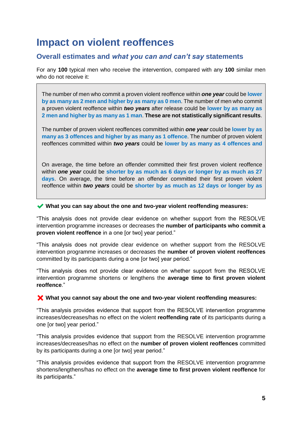# **Impact on violent reoffences**

# **Overall estimates and** *what you can and can't say* **statements**

For any **100** typical men who receive the intervention, compared with any **100** similar men who do not receive it:

The number of men who commit a proven violent reoffence within *one year* could be **lower by as many as 2 men and higher by as many as 0 men**. The number of men who commit a proven violent reoffence within *two years* after release could be **lower by as many as 2 men and higher by as many as 1 man**. **These are not statistically significant results**.

The number of proven violent reoffences committed within *one year* could be **lower by as many as 3 offences and higher by as many as 1 offence**. The number of proven violent reoffences committed within *two years* could be **lower by as many as 4 offences and** 

On average, the time before an offender committed their first proven violent reoffence within *one year* could be **shorter by as much as 6 days or longer by as much as 27 days**. On average, the time before an offender committed their first proven violent reoffence within *two years* could be **shorter by as much as 12 days or longer by as** 

✔ **What you can say about the one and two-year violent reoffending measures:**

"This analysis does not provide clear evidence on whether support from the RESOLVE intervention programme increases or decreases the **number of participants who commit a proven violent reoffence** in a one for twol year period."

"This analysis does not provide clear evidence on whether support from the RESOLVE intervention programme increases or decreases the **number of proven violent reoffences**  committed by its participants during a one [or two] year period."

"This analysis does not provide clear evidence on whether support from the RESOLVE intervention programme shortens or lengthens the **average time to first proven violent reoffence**."

#### ✖ **What you cannot say about the one and two-year violent reoffending measures:**

"This analysis provides evidence that support from the RESOLVE intervention programme increases/decreases/has no effect on the violent **reoffending rate** of its participants during a one [or two] year period."

"This analysis provides evidence that support from the RESOLVE intervention programme increases/decreases/has no effect on the **number of proven violent reoffences** committed by its participants during a one [or two] year period."

"This analysis provides evidence that support from the RESOLVE intervention programme shortens/lengthens/has no effect on the **average time to first proven violent reoffence** for its participants."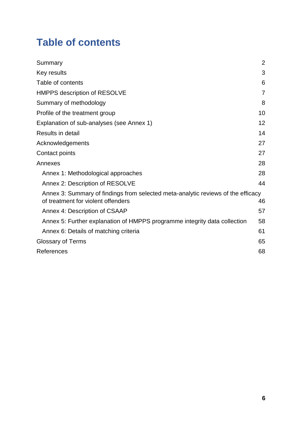# <span id="page-5-0"></span>**Table of contents**

| Summary                                                                                                                | $\overline{2}$ |
|------------------------------------------------------------------------------------------------------------------------|----------------|
| Key results                                                                                                            | 3              |
| Table of contents                                                                                                      | 6              |
| HMPPS description of RESOLVE                                                                                           | $\overline{7}$ |
| Summary of methodology                                                                                                 | 8              |
| Profile of the treatment group                                                                                         | 10             |
| Explanation of sub-analyses (see Annex 1)                                                                              | 12             |
| Results in detail                                                                                                      | 14             |
| Acknowledgements                                                                                                       | 27             |
| Contact points                                                                                                         | 27             |
| Annexes                                                                                                                | 28             |
| Annex 1: Methodological approaches                                                                                     | 28             |
| Annex 2: Description of RESOLVE                                                                                        | 44             |
| Annex 3: Summary of findings from selected meta-analytic reviews of the efficacy<br>of treatment for violent offenders | 46             |
| Annex 4: Description of CSAAP                                                                                          | 57             |
| Annex 5: Further explanation of HMPPS programme integrity data collection                                              | 58             |
| Annex 6: Details of matching criteria                                                                                  | 61             |
| <b>Glossary of Terms</b>                                                                                               | 65             |
| References                                                                                                             | 68             |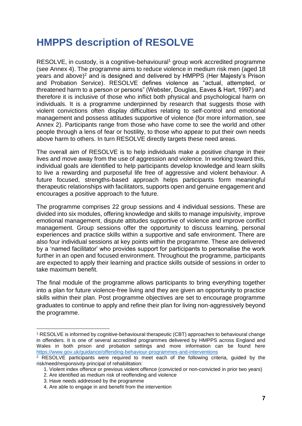# <span id="page-6-0"></span>**HMPPS description of RESOLVE**

 $RESOLVE$ , in custody, is a cognitive-behavioural<sup>1</sup> group work accredited programme (see Annex 4). The programme aims to reduce violence in medium risk men (aged 18 years and above)<sup>2</sup> and is designed and delivered by HMPPS (Her Majesty's Prison and Probation Service). RESOLVE defines violence as "actual, attempted, or threatened harm to a person or persons" (Webster, Douglas, Eaves & Hart, 1997) and therefore it is inclusive of those who inflict both physical and psychological harm on individuals. It is a programme underpinned by research that suggests those with violent convictions often display difficulties relating to self-control and emotional management and possess attitudes supportive of violence (for more information, see Annex 2). Participants range from those who have come to see the world and other people through a lens of fear or hostility, to those who appear to put their own needs above harm to others. In turn RESOLVE directly targets these need areas.

The overall aim of RESOLVE is to help individuals make a positive change in their lives and move away from the use of aggression and violence. In working toward this, individual goals are identified to help participants develop knowledge and learn skills to live a rewarding and purposeful life free of aggressive and violent behaviour. A future focused, strengths-based approach helps participants form meaningful therapeutic relationships with facilitators, supports open and genuine engagement and encourages a positive approach to the future.

The programme comprises 22 group sessions and 4 individual sessions. These are divided into six modules, offering knowledge and skills to manage impulsivity, improve emotional management, dispute attitudes supportive of violence and improve conflict management. Group sessions offer the opportunity to discuss learning, personal experiences and practice skills within a supportive and safe environment. There are also four individual sessions at key points within the programme. These are delivered by a 'named facilitator' who provides support for participants to personalise the work further in an open and focused environment. Throughout the programme, participants are expected to apply their learning and practice skills outside of sessions in order to take maximum benefit.

The final module of the programme allows participants to bring everything together into a plan for future violence-free living and they are given an opportunity to practice skills within their plan. Post programme objectives are set to encourage programme graduates to continue to apply and refine their plan for living non-aggressively beyond the programme.

<sup>1</sup> RESOLVE is informed by cognitive-behavioural therapeutic (CBT) approaches to behavioural change in offenders. It is one of several accredited programmes delivered by HMPPS across England and Wales in both prison and probation settings and more information can be found here <https://www.gov.uk/guidance/offending-behaviour-programmes-and-interventions>

<sup>2</sup> RESOLVE participants were required to meet each of the following criteria, guided by the risk/need/responsivity principal of rehabilitation:

<sup>1.</sup> Violent index offence or previous violent offence (convicted or non-convicted in prior two years)

<sup>2.</sup> Are identified as medium risk of reoffending and violence

<sup>3.</sup> Have needs addressed by the programme

<sup>4.</sup> Are able to engage in and benefit from the intervention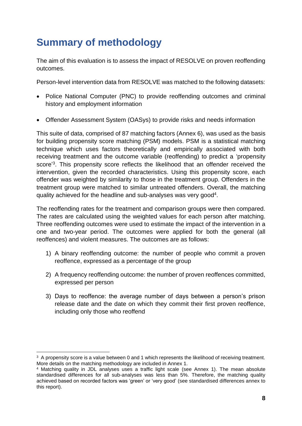# <span id="page-7-0"></span>**Summary of methodology**

The aim of this evaluation is to assess the impact of RESOLVE on proven reoffending outcomes.

Person-level intervention data from RESOLVE was matched to the following datasets:

- Police National Computer (PNC) to provide reoffending outcomes and criminal history and employment information
- Offender Assessment System (OASys) to provide risks and needs information

This suite of data, comprised of 87 matching factors (Annex 6), was used as the basis for building propensity score matching (PSM) models. PSM is a statistical matching technique which uses factors theoretically and empirically associated with both receiving treatment and the outcome variable (reoffending) to predict a 'propensity score<sup>'3</sup>. This propensity score reflects the likelihood that an offender received the intervention, given the recorded characteristics. Using this propensity score, each offender was weighted by similarity to those in the treatment group. Offenders in the treatment group were matched to similar untreated offenders. Overall, the matching quality achieved for the headline and sub-analyses was very good<sup>4</sup>.

The reoffending rates for the treatment and comparison groups were then compared. The rates are calculated using the weighted values for each person after matching. Three reoffending outcomes were used to estimate the impact of the intervention in a one and two-year period. The outcomes were applied for both the general (all reoffences) and violent measures. The outcomes are as follows:

- 1) A binary reoffending outcome: the number of people who commit a proven reoffence, expressed as a percentage of the group
- 2) A frequency reoffending outcome: the number of proven reoffences committed, expressed per person
- 3) Days to reoffence: the average number of days between a person's prison release date and the date on which they commit their first proven reoffence, including only those who reoffend

<sup>&</sup>lt;sup>3</sup> A propensity score is a value between 0 and 1 which represents the likelihood of receiving treatment. More details on the matching methodology are included in Annex 1.

<sup>4</sup> Matching quality in JDL analyses uses a traffic light scale (see Annex 1). The mean absolute standardised differences for all sub-analyses was less than 5%. Therefore, the matching quality achieved based on recorded factors was 'green' or 'very good' (see standardised differences annex to this report).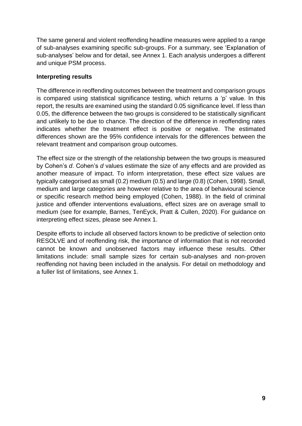The same general and violent reoffending headline measures were applied to a range of sub-analyses examining specific sub-groups. For a summary, see 'Explanation of sub-analyses' below and for detail, see Annex 1. Each analysis undergoes a different and unique PSM process.

### **Interpreting results**

The difference in reoffending outcomes between the treatment and comparison groups is compared using statistical significance testing, which returns a 'p' value. In this report, the results are examined using the standard 0.05 significance level. If less than 0.05, the difference between the two groups is considered to be statistically significant and unlikely to be due to chance. The direction of the difference in reoffending rates indicates whether the treatment effect is positive or negative. The estimated differences shown are the 95% confidence intervals for the differences between the relevant treatment and comparison group outcomes.

The effect size or the strength of the relationship between the two groups is measured by Cohen's *d*. Cohen's *d* values estimate the size of any effects and are provided as another measure of impact. To inform interpretation, these effect size values are typically categorised as small (0.2) medium (0.5) and large (0.8) (Cohen, 1998). Small, medium and large categories are however relative to the area of behavioural science or specific research method being employed (Cohen, 1988). In the field of criminal justice and offender interventions evaluations, effect sizes are on average small to medium (see for example, Barnes, TenEyck, Pratt & Cullen, 2020). For guidance on interpreting effect sizes, please see Annex 1.

Despite efforts to include all observed factors known to be predictive of selection onto RESOLVE and of reoffending risk, the importance of information that is not recorded cannot be known and unobserved factors may influence these results. Other limitations include: small sample sizes for certain sub-analyses and non-proven reoffending not having been included in the analysis. For detail on methodology and a fuller list of limitations, see Annex 1.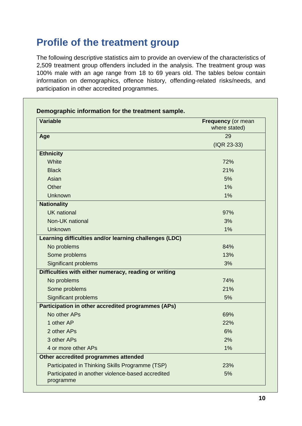# <span id="page-9-0"></span>**Profile of the treatment group**

The following descriptive statistics aim to provide an overview of the characteristics of 2,509 treatment group offenders included in the analysis. The treatment group was 100% male with an age range from 18 to 69 years old. The tables below contain information on demographics, offence history, offending-related risks/needs, and participation in other accredited programmes.

| <b>Variable</b>                                                | Frequency (or mean<br>where stated) |
|----------------------------------------------------------------|-------------------------------------|
| Age                                                            | 29                                  |
|                                                                | (IQR 23-33)                         |
| <b>Ethnicity</b>                                               |                                     |
| White                                                          | 72%                                 |
| <b>Black</b>                                                   | 21%                                 |
| Asian                                                          | 5%                                  |
| Other                                                          | 1%                                  |
| <b>Unknown</b>                                                 | 1%                                  |
| <b>Nationality</b>                                             |                                     |
| <b>UK</b> national                                             | 97%                                 |
| Non-UK national                                                | 3%                                  |
| Unknown                                                        | 1%                                  |
| Learning difficulties and/or learning challenges (LDC)         |                                     |
| No problems                                                    | 84%                                 |
| Some problems                                                  | 13%                                 |
| <b>Significant problems</b>                                    | 3%                                  |
| Difficulties with either numeracy, reading or writing          |                                     |
| No problems                                                    | 74%                                 |
| Some problems                                                  | 21%                                 |
| Significant problems                                           | 5%                                  |
| Participation in other accredited programmes (APs)             |                                     |
| No other APs                                                   | 69%                                 |
| 1 other AP                                                     | 22%                                 |
| 2 other APs                                                    | 6%                                  |
| 3 other APs                                                    | 2%                                  |
| 4 or more other APs                                            | 1%                                  |
| Other accredited programmes attended                           |                                     |
| Participated in Thinking Skills Programme (TSP)                | 23%                                 |
| Participated in another violence-based accredited<br>programme | 5%                                  |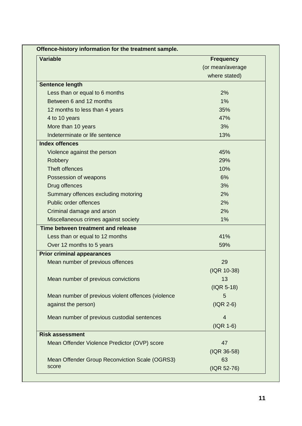| <b>Variable</b>                                    | <b>Frequency</b> |
|----------------------------------------------------|------------------|
|                                                    | (or mean/average |
|                                                    | where stated)    |
| <b>Sentence length</b>                             |                  |
| Less than or equal to 6 months                     | 2%               |
| Between 6 and 12 months                            | 1%               |
| 12 months to less than 4 years                     | 35%              |
| 4 to 10 years                                      | 47%              |
| More than 10 years                                 | 3%               |
| Indeterminate or life sentence                     | 13%              |
| <b>Index offences</b>                              |                  |
| Violence against the person                        | 45%              |
| Robbery                                            | 29%              |
| Theft offences                                     | 10%              |
| Possession of weapons                              | 6%               |
| Drug offences                                      | 3%               |
| Summary offences excluding motoring                | 2%               |
| Public order offences                              | 2%               |
| Criminal damage and arson                          | 2%               |
| Miscellaneous crimes against society               | 1%               |
| Time between treatment and release                 |                  |
| Less than or equal to 12 months                    | 41%              |
| Over 12 months to 5 years                          | 59%              |
| <b>Prior criminal appearances</b>                  |                  |
| Mean number of previous offences                   | 29               |
|                                                    | (IQR 10-38)      |
| Mean number of previous convictions                | 13               |
|                                                    | $( IQR 5-18)$    |
| Mean number of previous violent offences (violence | 5                |
| against the person)                                | $( IQR 2-6)$     |
|                                                    |                  |
| Mean number of previous custodial sentences        | $\overline{4}$   |
|                                                    | $( IQR 1-6)$     |
| <b>Risk assessment</b>                             |                  |
| Mean Offender Violence Predictor (OVP) score       | 47               |
|                                                    | (IQR 36-58)      |
| Mean Offender Group Reconviction Scale (OGRS3)     | 63               |
| score                                              | (IQR 52-76)      |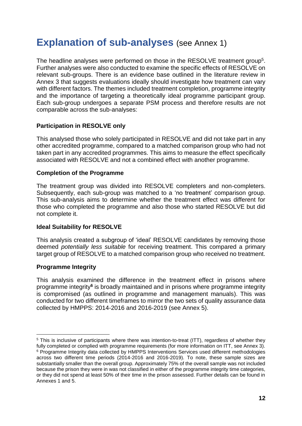# <span id="page-11-0"></span>**Explanation of sub-analyses (see Annex 1)**

The headline analyses were performed on those in the RESOLVE treatment group<sup>5</sup>. Further analyses were also conducted to examine the specific effects of RESOLVE on relevant sub-groups. There is an evidence base outlined in the literature review in Annex 3 that suggests evaluations ideally should investigate how treatment can vary with different factors. The themes included treatment completion, programme integrity and the importance of targeting a theoretically ideal programme participant group. Each sub-group undergoes a separate PSM process and therefore results are not comparable across the sub-analyses:

### **Participation in RESOLVE only**

This analysed those who solely participated in RESOLVE and did not take part in any other accredited programme, compared to a matched comparison group who had not taken part in any accredited programmes. This aims to measure the effect specifically associated with RESOLVE and not a combined effect with another programme.

#### **Completion of the Programme**

The treatment group was divided into RESOLVE completers and non-completers. Subsequently, each sub-group was matched to a 'no treatment' comparison group. This sub-analysis aims to determine whether the treatment effect was different for those who completed the programme and also those who started RESOLVE but did not complete it.

#### **Ideal Suitability for RESOLVE**

This analysis created a subgroup of 'ideal' RESOLVE candidates by removing those deemed *potentially less suitable* for receiving treatment. This compared a primary target group of RESOLVE to a matched comparison group who received no treatment.

#### **Programme Integrity**

This analysis examined the difference in the treatment effect in prisons where programme integrity<sup>6</sup> is broadly maintained and in prisons where programme integrity is compromised (as outlined in programme and management manuals). This was conducted for two different timeframes to mirror the two sets of quality assurance data collected by HMPPS: 2014-2016 and 2016-2019 (see Annex 5).

<sup>&</sup>lt;sup>5</sup> This is inclusive of participants where there was intention-to-treat (ITT), regardless of whether they fully completed or complied with programme requirements (for more information on ITT, see Annex 3). <sup>6</sup> Programme Integrity data collected by HMPPS Interventions Services used different methodologies across two different time periods (2014-2016 and 2016-2019). To note, these sample sizes are substantially smaller than the overall group. Approximately 75% of the overall sample was not included because the prison they were in was not classified in either of the programme integrity time categories, or they did not spend at least 50% of their time in the prison assessed. Further details can be found in Annexes 1 and 5.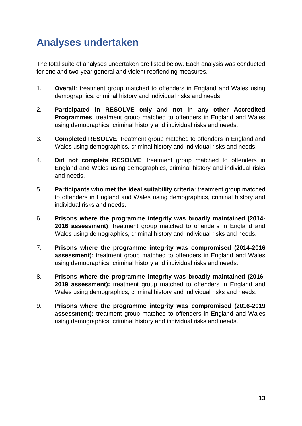# **Analyses undertaken**

The total suite of analyses undertaken are listed below. Each analysis was conducted for one and two-year general and violent reoffending measures.

- 1. **Overall**: treatment group matched to offenders in England and Wales using demographics, criminal history and individual risks and needs.
- 2. **Participated in RESOLVE only and not in any other Accredited Programmes**: treatment group matched to offenders in England and Wales using demographics, criminal history and individual risks and needs.
- 3. **Completed RESOLVE**: treatment group matched to offenders in England and Wales using demographics, criminal history and individual risks and needs.
- 4. **Did not complete RESOLVE**: treatment group matched to offenders in England and Wales using demographics, criminal history and individual risks and needs.
- 5. **Participants who met the ideal suitability criteria**: treatment group matched to offenders in England and Wales using demographics, criminal history and individual risks and needs.
- 6. **Prisons where the programme integrity was broadly maintained (2014- 2016 assessment)**: treatment group matched to offenders in England and Wales using demographics, criminal history and individual risks and needs.
- 7. **Prisons where the programme integrity was compromised (2014-2016 assessment)**: treatment group matched to offenders in England and Wales using demographics, criminal history and individual risks and needs.
- 8. **Prisons where the programme integrity was broadly maintained (2016- 2019 assessment):** treatment group matched to offenders in England and Wales using demographics, criminal history and individual risks and needs.
- 9. **Prisons where the programme integrity was compromised (2016-2019 assessment):** treatment group matched to offenders in England and Wales using demographics, criminal history and individual risks and needs.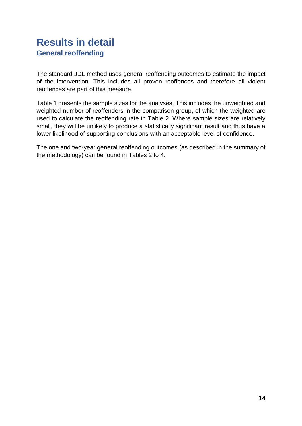# <span id="page-13-0"></span>**Results in detail General reoffending**

The standard JDL method uses general reoffending outcomes to estimate the impact of the intervention. This includes all proven reoffences and therefore all violent reoffences are part of this measure.

Table 1 presents the sample sizes for the analyses. This includes the unweighted and weighted number of reoffenders in the comparison group, of which the weighted are used to calculate the reoffending rate in Table 2. Where sample sizes are relatively small, they will be unlikely to produce a statistically significant result and thus have a lower likelihood of supporting conclusions with an acceptable level of confidence.

The one and two-year general reoffending outcomes (as described in the summary of the methodology) can be found in Tables 2 to 4.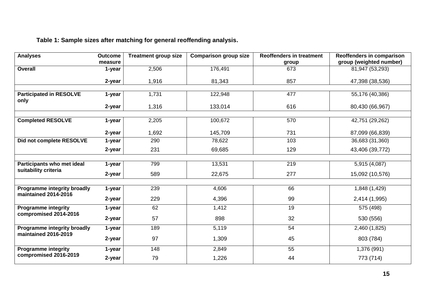# **Table 1: Sample sizes after matching for general reoffending analysis.**

| <b>Analyses</b>                                            | <b>Outcome</b><br>measure | <b>Treatment group size</b> | <b>Comparison group size</b> | <b>Reoffenders in treatment</b><br>group | Reoffenders in comparison<br>group (weighted number) |
|------------------------------------------------------------|---------------------------|-----------------------------|------------------------------|------------------------------------------|------------------------------------------------------|
| <b>Overall</b>                                             | 1-year                    | 2,506                       | 176,491                      | 673                                      | 81,947 (53,293)                                      |
|                                                            | 2-year                    | 1,916                       | 81,343                       | 857                                      | 47,398 (38,536)                                      |
| <b>Participated in RESOLVE</b><br>only                     | 1-year                    | 1,731                       | 122,948                      | 477                                      | 55,176 (40,386)                                      |
|                                                            | 2-year                    | 1,316                       | 133,014                      | 616                                      | 80,430 (66,967)                                      |
| <b>Completed RESOLVE</b>                                   | 1-year                    | 2,205                       | 100,672                      | 570                                      | 42,751 (29,262)                                      |
|                                                            | 2-year                    | 1,692                       | 145,709                      | 731                                      | 87,099 (66,839)                                      |
| Did not complete RESOLVE                                   | 1-year                    | 290                         | 78,622                       | 103                                      | 36,683 (31,360)                                      |
|                                                            | 2-year                    | 231                         | 69,685                       | 129                                      | 43,406 (39,772)                                      |
|                                                            |                           |                             |                              |                                          |                                                      |
| Participants who met ideal<br>suitability criteria         | 1-year                    | 799                         | 13,531                       | 219                                      | 5,915 (4,087)                                        |
|                                                            | 2-year                    | 589                         | 22,675                       | 277                                      | 15,092 (10,576)                                      |
| <b>Programme integrity broadly</b><br>maintained 2014-2016 | 1-year                    | 239                         | 4,606                        | 66                                       | 1,848 (1,429)                                        |
|                                                            | 2-year                    | 229                         | 4,396                        | 99                                       | 2,414 (1,995)                                        |
| <b>Programme integrity</b>                                 | 1-year                    | 62                          | 1,412                        | 19                                       | 575 (498)                                            |
| compromised 2014-2016                                      | 2-year                    | 57                          | 898                          | 32                                       | 530 (556)                                            |
| Programme integrity broadly                                | 1-year                    | 189                         | 5,119                        | 54                                       | 2,460 (1,825)                                        |
| maintained 2016-2019                                       | 2-year                    | 97                          | 1,309                        | 45                                       | 803 (784)                                            |
| <b>Programme integrity</b>                                 | 1-year                    | 148                         | 2,849                        | 55                                       | 1,376 (991)                                          |
| compromised 2016-2019                                      | 2-year                    | 79                          | 1,226                        | 44                                       | 773 (714)                                            |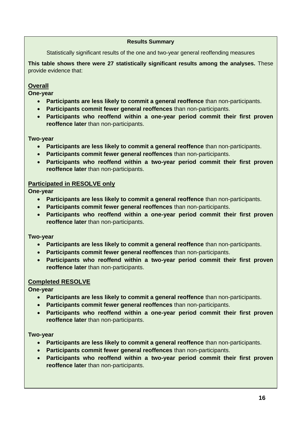#### **Results Summary**

Statistically significant results of the one and two-year general reoffending measures

**This table shows there were 27 statistically significant results among the analyses.** These provide evidence that:

### **Overall**

**One-year**

- **Participants are less likely to commit a general reoffence** than non-participants.
- **Participants commit fewer general reoffences** than non-participants.
- **Participants who reoffend within a one-year period commit their first proven reoffence later** than non-participants.

#### **Two-year**

- **Participants are less likely to commit a general reoffence** than non-participants.
- **Participants commit fewer general reoffences** than non-participants.
- **Participants who reoffend within a two-year period commit their first proven reoffence later** than non-participants.

#### **Participated in RESOLVE only**

**One-year**

- **Participants are less likely to commit a general reoffence** than non-participants.
- **Participants commit fewer general reoffences** than non-participants.
- **Participants who reoffend within a one-year period commit their first proven reoffence later** than non-participants.

#### **Two-year**

- **Participants are less likely to commit a general reoffence** than non-participants.
- **Participants commit fewer general reoffences** than non-participants.
- **Participants who reoffend within a two-year period commit their first proven reoffence later** than non-participants.

#### **Completed RESOLVE**

**One-year**

- **Participants are less likely to commit a general reoffence** than non-participants.
- **Participants commit fewer general reoffences** than non-participants.
- **Participants who reoffend within a one-year period commit their first proven reoffence later** than non-participants.

#### **Two-year**

- **Participants are less likely to commit a general reoffence** than non-participants.
- **Participants commit fewer general reoffences** than non-participants.
- **Participants who reoffend within a two-year period commit their first proven reoffence later** than non-participants.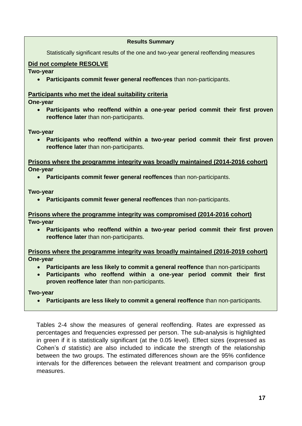#### **Results Summary**

Statistically significant results of the one and two-year general reoffending measures

#### **Did not complete RESOLVE**

**Two-year**

• **Participants commit fewer general reoffences** than non-participants.

#### **Participants who met the ideal suitability criteria**

**One-year**

• **Participants who reoffend within a one-year period commit their first proven reoffence later** than non-participants.

**Two-year**

• **Participants who reoffend within a two-year period commit their first proven reoffence later** than non-participants.

**Prisons where the programme integrity was broadly maintained (2014-2016 cohort) One-year**

• **Participants commit fewer general reoffences** than non-participants.

**Two-year**

• **Participants commit fewer general reoffences** than non-participants.

**Prisons where the programme integrity was compromised (2014-2016 cohort) Two-year**

• **Participants who reoffend within a two-year period commit their first proven reoffence later** than non-participants.

**Prisons where the programme integrity was broadly maintained (2016-2019 cohort) One-year**

- **Participants are less likely to commit a general reoffence** than non-participants
- **Participants who reoffend within a one-year period commit their first proven reoffence later** than non-participants.

**Two-year**

• **Participants are less likely to commit a general reoffence** than non-participants.

Tables 2-4 show the measures of general reoffending. Rates are expressed as percentages and frequencies expressed per person. The sub-analysis is highlighted in green if it is statistically significant (at the 0.05 level). Effect sizes (expressed as Cohen's *d* statistic) are also included to indicate the strength of the relationship between the two groups. The estimated differences shown are the 95% confidence intervals for the differences between the relevant treatment and comparison group measures.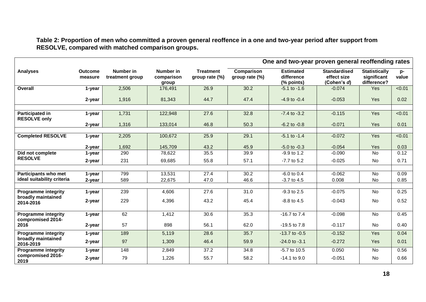**Table 2: Proportion of men who committed a proven general reoffence in a one and two-year period after support from RESOLVE, compared with matched comparison groups.**

|                                               |                           |                              |                                  |                                    | One and two-year proven general reoffending rates |                                              |                                                   |                                                    |             |  |
|-----------------------------------------------|---------------------------|------------------------------|----------------------------------|------------------------------------|---------------------------------------------------|----------------------------------------------|---------------------------------------------------|----------------------------------------------------|-------------|--|
| <b>Analyses</b>                               | <b>Outcome</b><br>measure | Number in<br>treatment group | Number in<br>comparison<br>group | <b>Treatment</b><br>group rate (%) | Comparison<br>group rate (%)                      | <b>Estimated</b><br>difference<br>(% points) | <b>Standardised</b><br>effect size<br>(Cohen's d) | <b>Statistically</b><br>significant<br>difference? | p-<br>value |  |
| Overall                                       | 1-year                    | 2,506                        | 176,491                          | 26.9                               | 30.2                                              | $-5.1$ to $-1.6$                             | $-0.074$                                          | <b>Yes</b>                                         | < 0.01      |  |
|                                               | 2-year                    | 1,916                        | 81,343                           | 44.7                               | 47.4                                              | $-4.9$ to $-0.4$                             | $-0.053$                                          | Yes                                                | 0.02        |  |
|                                               |                           |                              |                                  |                                    |                                                   |                                              | $-0.115$                                          |                                                    |             |  |
| <b>Participated in</b><br><b>RESOLVE only</b> | 1-year                    | 1,731                        | 122,948                          | 27.6                               | 32.8                                              | $-7.4$ to $-3.2$                             |                                                   | Yes                                                | < 0.01      |  |
|                                               | 2-year                    | 1,316                        | 133,014                          | 46.8                               | 50.3                                              | $-6.2$ to $-0.8$                             | $-0.071$                                          | Yes                                                | 0.01        |  |
|                                               |                           |                              |                                  |                                    |                                                   |                                              |                                                   |                                                    |             |  |
| <b>Completed RESOLVE</b>                      | 1-year                    | 2,205                        | 100,672                          | 25.9                               | 29.1                                              | $-5.1$ to $-1.4$                             | $-0.072$                                          | Yes                                                | < 0.01      |  |
|                                               | 2-year                    | 1,692                        | 145,709                          | 43.2                               | 45.9                                              | $-5.0$ to $-0.3$                             | $-0.054$                                          | Yes                                                | 0.03        |  |
| Did not complete                              | 1-year                    | 290                          | 78,622                           | 35.5                               | 39.9                                              | $-9.9$ to 1.2                                | $-0.090$                                          | <b>No</b>                                          | 0.12        |  |
| <b>RESOLVE</b>                                | 2-year                    | 231                          | 69,685                           | 55.8                               | 57.1                                              | $-7.7$ to 5.2                                | $-0.025$                                          | No                                                 | 0.71        |  |
|                                               |                           |                              |                                  |                                    |                                                   |                                              |                                                   |                                                    |             |  |
| <b>Participants who met</b>                   | 1-year                    | 799                          | 13,531                           | 27.4                               | 30.2                                              | $-6.0$ to 0.4                                | $-0.062$                                          | No                                                 | 0.09        |  |
| ideal suitability criteria                    | 2-year                    | 589                          | 22,675                           | 47.0                               | 46.6                                              | $-3.7$ to $4.5$                              | 0.008                                             | No                                                 | 0.85        |  |
| <b>Programme integrity</b>                    | 1-year                    | 239                          | 4,606                            | 27.6                               | 31.0                                              | $-9.3$ to 2.5                                | $-0.075$                                          | No                                                 | 0.25        |  |
| broadly maintained                            | 2-year                    | 229                          | 4,396                            | 43.2                               | 45.4                                              | $-8.8$ to $4.5$                              | $-0.043$                                          | No                                                 | 0.52        |  |
| 2014-2016                                     |                           |                              |                                  |                                    |                                                   |                                              |                                                   |                                                    |             |  |
| <b>Programme integrity</b>                    | 1-year                    | 62                           | 1,412                            | 30.6                               | 35.3                                              | $-16.7$ to $7.4$                             | $-0.098$                                          | <b>No</b>                                          | 0.45        |  |
| compromised 2014-<br>2016                     | 2-year                    | 57                           | 898                              | 56.1                               | 62.0                                              | -19.5 to 7.8                                 | $-0.117$                                          | No                                                 | 0.40        |  |
| <b>Programme integrity</b>                    | 1-year                    | 189                          | 5,119                            | 28.6                               | 35.7                                              | $-13.7$ to $-0.5$                            | $-0.152$                                          | Yes                                                | 0.04        |  |
| broadly maintained<br>2016-2019               | 2-year                    | 97                           | 1,309                            | 46.4                               | 59.9                                              | $-24.0$ to $-3.1$                            | $-0.272$                                          | <b>Yes</b>                                         | 0.01        |  |
| <b>Programme integrity</b>                    | 1-year                    | 148                          | 2,849                            | 37.2                               | 34.8                                              | -5.7 to 10.5                                 | 0.050                                             | No                                                 | 0.56        |  |
| compromised 2016-<br>2019                     | 2-year                    | 79                           | 1,226                            | 55.7                               | 58.2                                              | $-14.1$ to $9.0$                             | $-0.051$                                          | No                                                 | 0.66        |  |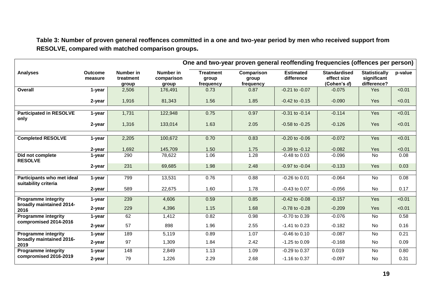**Table 3: Number of proven general reoffences committed in a one and two-year period by men who received support from RESOLVE, compared with matched comparison groups***.*

|                                                    |                           |                                 |                                  |                                        |                                  | One and two-year proven general reoffending frequencies (offences per person) |                                                   |                                                    |         |
|----------------------------------------------------|---------------------------|---------------------------------|----------------------------------|----------------------------------------|----------------------------------|-------------------------------------------------------------------------------|---------------------------------------------------|----------------------------------------------------|---------|
| <b>Analyses</b>                                    | <b>Outcome</b><br>measure | Number in<br>treatment<br>group | Number in<br>comparison<br>group | <b>Treatment</b><br>group<br>frequency | Comparison<br>group<br>frequency | <b>Estimated</b><br>difference                                                | <b>Standardised</b><br>effect size<br>(Cohen's d) | <b>Statistically</b><br>significant<br>difference? | p-value |
| Overall                                            | 1-year                    | 2,506                           | 176,491                          | 0.73                                   | 0.87                             | $-0.21$ to $-0.07$                                                            | $-0.075$                                          | <b>Yes</b>                                         | < 0.01  |
|                                                    | 2-year                    | 1,916                           | 81,343                           | 1.56                                   | 1.85                             | $-0.42$ to $-0.15$                                                            | $-0.090$                                          | Yes                                                | < 0.01  |
| <b>Participated in RESOLVE</b><br>only             | 1-year                    | 1,731                           | 122,948                          | 0.75                                   | 0.97                             | $-0.31$ to $-0.14$                                                            | $-0.114$                                          | <b>Yes</b>                                         | < 0.01  |
|                                                    | 2-year                    | 1,316                           | 133,014                          | 1.63                                   | 2.05                             | $-0.58$ to $-0.25$                                                            | $-0.126$                                          | <b>Yes</b>                                         | < 0.01  |
| <b>Completed RESOLVE</b>                           | 1-year                    | 2,205                           | 100,672                          | 0.70                                   | 0.83                             | $-0.20$ to $-0.06$                                                            | $-0.072$                                          | Yes                                                | < 0.01  |
|                                                    | 2-year                    | 1,692                           | 145,709                          | 1.50                                   | 1.75                             | $-0.39$ to $-0.12$                                                            | $-0.082$                                          | Yes                                                | < 0.01  |
| Did not complete<br><b>RESOLVE</b>                 | 1-year                    | 290                             | 78,622                           | 1.06                                   | 1.28                             | $-0.48$ to 0.03                                                               | $-0.096$                                          | <b>No</b>                                          | 0.08    |
|                                                    | 2-year                    | 231                             | 69,685                           | 1.98                                   | 2.48                             | $-0.97$ to $-0.04$                                                            | $-0.133$                                          | Yes                                                | 0.03    |
| Participants who met ideal<br>suitability criteria | 1-year                    | 799                             | 13,531                           | 0.76                                   | 0.88                             | $-0.26$ to $0.01$                                                             | $-0.064$                                          | No                                                 | 0.08    |
|                                                    | 2-year                    | 589                             | 22,675                           | 1.60                                   | 1.78                             | $-0.43$ to $0.07$                                                             | $-0.056$                                          | No                                                 | 0.17    |
| <b>Programme integrity</b>                         | 1-year                    | 239                             | 4,606                            | 0.59                                   | 0.85                             | $-0.42$ to $-0.08$                                                            | $-0.157$                                          | Yes                                                | < 0.01  |
| broadly maintained 2014-<br>2016                   | 2-year                    | 229                             | 4,396                            | 1.15                                   | 1.68                             | $-0.78$ to $-0.28$                                                            | $-0.209$                                          | Yes                                                | < 0.01  |
| <b>Programme integrity</b>                         | 1-year                    | 62                              | 1,412                            | 0.82                                   | 0.98                             | -0.70 to 0.39                                                                 | $-0.076$                                          | No                                                 | 0.58    |
| compromised 2014-2016                              | 2-year                    | 57                              | 898                              | 1.96                                   | 2.55                             | $-1.41$ to 0.23                                                               | $-0.182$                                          | <b>No</b>                                          | 0.16    |
| <b>Programme integrity</b>                         | 1-year                    | 189                             | 5,119                            | 0.89                                   | 1.07                             | $-0.46$ to $0.10$                                                             | $-0.087$                                          | <b>No</b>                                          | 0.21    |
| broadly maintained 2016-<br>2019                   | 2-year                    | 97                              | 1,309                            | 1.84                                   | 2.42                             | $-1.25$ to $0.09$                                                             | $-0.168$                                          | No                                                 | 0.09    |
| <b>Programme integrity</b>                         | 1-year                    | 148                             | 2,849                            | 1.13                                   | 1.09                             | $-0.29$ to $0.37$                                                             | 0.019                                             | <b>No</b>                                          | 0.80    |
| compromised 2016-2019                              | 2-year                    | 79                              | 1,226                            | 2.29                                   | 2.68                             | -1.16 to 0.37                                                                 | $-0.097$                                          | No                                                 | 0.31    |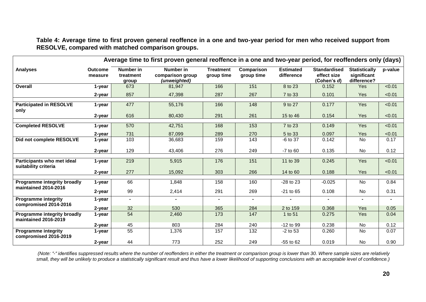**Table 4: Average time to first proven general reoffence in a one and two-year period for men who received support from RESOLVE, compared with matched comparison groups.**

|                                                     |                           |                                 | Average time to first proven general reoffence in a one and two-year period, for reoffenders only (days) |                                |                          |                                |                                                   |                                                    |                |
|-----------------------------------------------------|---------------------------|---------------------------------|----------------------------------------------------------------------------------------------------------|--------------------------------|--------------------------|--------------------------------|---------------------------------------------------|----------------------------------------------------|----------------|
| <b>Analyses</b>                                     | <b>Outcome</b><br>measure | Number in<br>treatment<br>group | Number in<br>comparison group<br>(unweighted)                                                            | <b>Treatment</b><br>group time | Comparison<br>group time | <b>Estimated</b><br>difference | <b>Standardised</b><br>effect size<br>(Cohen's d) | <b>Statistically</b><br>significant<br>difference? | p-value        |
| Overall                                             | 1-year                    | 673                             | 81,947                                                                                                   | 166                            | 151                      | 8 to 23                        | 0.152                                             | Yes                                                | < 0.01         |
|                                                     | 2-year                    | 857                             | 47,398                                                                                                   | 287                            | 267                      | 7 to 33                        | 0.101                                             | Yes                                                | < 0.01         |
| <b>Participated in RESOLVE</b><br>only              | 1-year                    | 477                             | 55,176                                                                                                   | 166                            | 148                      | 9 to 27                        | 0.177                                             | <b>Yes</b>                                         | < 0.01         |
|                                                     | 2-year                    | 616                             | 80,430                                                                                                   | 291                            | 261                      | 15 to 46                       | 0.154                                             | Yes                                                | < 0.01         |
| <b>Completed RESOLVE</b>                            |                           | 570                             |                                                                                                          | 168                            | 153                      |                                |                                                   | Yes                                                | < 0.01         |
|                                                     | 1-year                    |                                 | 42,751                                                                                                   |                                |                          | 7 to 23                        | 0.149                                             |                                                    |                |
|                                                     | 2-year                    | 731                             | 87,099                                                                                                   | 289                            | 270                      | 5 to 33                        | 0.097                                             | Yes                                                | < 0.01         |
| Did not complete RESOLVE                            | 1-year                    | 103                             | 36,683                                                                                                   | 159                            | 143                      | -6 to 37                       | 0.142                                             | No                                                 | 0.17           |
|                                                     | 2-year                    | 129                             | 43,406                                                                                                   | 276                            | 249                      | $-7$ to $60$                   | 0.135                                             | No                                                 | 0.12           |
| Participants who met ideal<br>suitability criteria  | 1-year                    | 219                             | 5,915                                                                                                    | 176                            | 151                      | 11 to 39                       | 0.245                                             | Yes                                                | < 0.01         |
|                                                     | 2-year                    | 277                             | 15,092                                                                                                   | 303                            | 266                      | 14 to 60                       | 0.188                                             | Yes                                                | < 0.01         |
|                                                     |                           |                                 |                                                                                                          |                                |                          |                                |                                                   |                                                    |                |
| Programme integrity broadly<br>maintained 2014-2016 | 1-year                    | 66                              | 1,848                                                                                                    | 158                            | 160                      | -28 to 23                      | $-0.025$                                          | No                                                 | 0.84           |
|                                                     | 2-year                    | 99                              | 2,414                                                                                                    | 291                            | 269                      | $-21$ to 65                    | 0.108                                             | No                                                 | 0.31           |
| <b>Programme integrity</b><br>compromised 2014-2016 | 1-year                    | $\sim$                          |                                                                                                          |                                |                          |                                |                                                   |                                                    | $\blacksquare$ |
|                                                     | 2-year                    | 32                              | 530                                                                                                      | 365                            | 284                      | 2 to 159                       | 0.368                                             | Yes                                                | 0.05           |
| Programme integrity broadly<br>maintained 2016-2019 | 1-year                    | 54                              | 2,460                                                                                                    | 173                            | 147                      | 1 to 51                        | 0.275                                             | Yes                                                | 0.04           |
|                                                     | 2-year                    | 45                              | 803                                                                                                      | 284                            | 240                      | $-12$ to 99                    | 0.238                                             | No                                                 | 0.12           |
| <b>Programme integrity</b><br>compromised 2016-2019 | 1-year                    | 55                              | 1,376                                                                                                    | 157                            | 132                      | $-2$ to 53                     | 0.260                                             | No                                                 | 0.07           |
|                                                     | 2-year                    | 44                              | 773                                                                                                      | 252                            | 249                      | $-55$ to $62$                  | 0.019                                             | No                                                 | 0.90           |

*(Note: "-" identifies suppressed results where the number of reoffenders in either the treatment or comparison group is lower than 30. Where sample sizes are relatively small, they will be unlikely to produce a statistically significant result and thus have a lower likelihood of supporting conclusions with an acceptable level of confidence.)*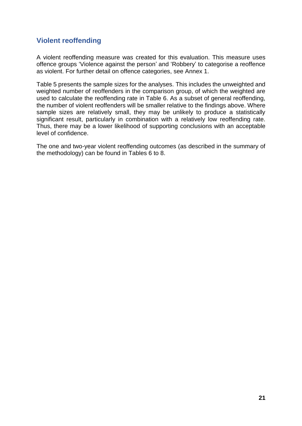# **Violent reoffending**

A violent reoffending measure was created for this evaluation. This measure uses offence groups 'Violence against the person' and 'Robbery' to categorise a reoffence as violent. For further detail on offence categories, see Annex 1.

Table 5 presents the sample sizes for the analyses. This includes the unweighted and weighted number of reoffenders in the comparison group, of which the weighted are used to calculate the reoffending rate in Table 6. As a subset of general reoffending, the number of violent reoffenders will be smaller relative to the findings above. Where sample sizes are relatively small, they may be unlikely to produce a statistically significant result, particularly in combination with a relatively low reoffending rate. Thus, there may be a lower likelihood of supporting conclusions with an acceptable level of confidence.

The one and two-year violent reoffending outcomes (as described in the summary of the methodology) can be found in Tables 6 to 8.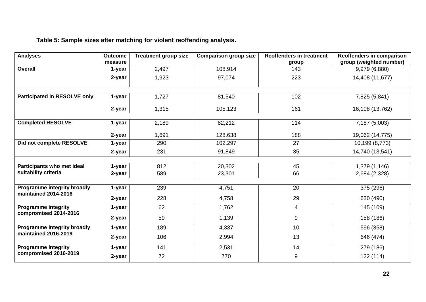# **Table 5: Sample sizes after matching for violent reoffending analysis.**

| <b>Analyses</b>                                            | <b>Outcome</b> | <b>Treatment group size</b> | <b>Comparison group size</b> | <b>Reoffenders in treatment</b> | Reoffenders in comparison |
|------------------------------------------------------------|----------------|-----------------------------|------------------------------|---------------------------------|---------------------------|
|                                                            | measure        |                             |                              | group                           | group (weighted number)   |
| Overall                                                    | 1-year         | 2,497                       | 108,914                      | 143                             | 9,979 (6,880)             |
|                                                            | 2-year         | 1,923                       | 97,074                       | 223                             | 14,408 (11,677)           |
|                                                            |                |                             |                              |                                 |                           |
| <b>Participated in RESOLVE only</b>                        | 1-year         | 1,727                       | 81,540                       | 102                             | 7,825 (5,841)             |
|                                                            | 2-year         | 1,315                       | 105,123                      | 161                             | 16,108 (13,762)           |
|                                                            |                |                             |                              |                                 |                           |
| <b>Completed RESOLVE</b>                                   | 1-year         | 2,189                       | 82,212                       | 114                             | 7,187 (5,003)             |
|                                                            | 2-year         | 1,691                       | 128,638                      | 188                             | 19,062 (14,775)           |
| Did not complete RESOLVE                                   | 1-year         | 290                         | 102,297                      | 27                              | 10,199 (8,773)            |
|                                                            | 2-year         | 231                         | 91,849                       | 35                              | 14,740 (13,541)           |
|                                                            |                |                             |                              |                                 |                           |
| Participants who met ideal                                 | 1-year         | 812                         | 20,302                       | 45                              | 1,379 (1,146)             |
| suitability criteria                                       | 2-year         | 589                         | 23,301                       | 66                              | 2,684 (2,328)             |
|                                                            |                |                             |                              |                                 |                           |
| Programme integrity broadly<br>maintained 2014-2016        | 1-year         | 239                         | 4,751                        | 20                              | 375 (296)                 |
|                                                            | 2-year         | 228                         | 4,758                        | 29                              | 630 (490)                 |
| <b>Programme integrity</b><br>compromised 2014-2016        | 1-year         | 62                          | 1,762                        | 4                               | 145 (109)                 |
|                                                            | 2-year         | 59                          | 1,139                        | 9                               | 158 (186)                 |
| <b>Programme integrity broadly</b><br>maintained 2016-2019 | 1-year         | 189                         | 4,337                        | 10                              | 596 (358)                 |
|                                                            | 2-year         | 106                         | 2,994                        | 13                              | 646 (474)                 |
| <b>Programme integrity</b>                                 | 1-year         | 141                         | 2,531                        | 14                              | 279 (186)                 |
| compromised 2016-2019                                      | 2-year         | 72                          | 770                          | 9                               | 122 (114)                 |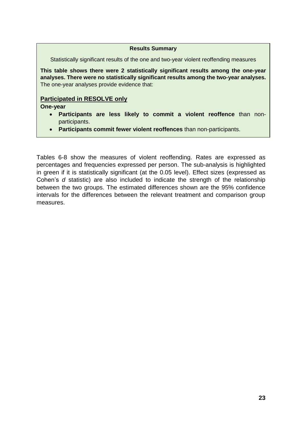#### **Results Summary**

Statistically significant results of the one and two-year violent reoffending measures

**This table shows there were 2 statistically significant results among the one-year analyses. There were no statistically significant results among the two-year analyses.** The one-year analyses provide evidence that:

#### **Participated in RESOLVE only**

**One-year**

- **Participants are less likely to commit a violent reoffence** than nonparticipants.
- **Participants commit fewer violent reoffences** than non-participants.

Tables 6-8 show the measures of violent reoffending. Rates are expressed as percentages and frequencies expressed per person. The sub-analysis is highlighted in green if it is statistically significant (at the 0.05 level). Effect sizes (expressed as Cohen's *d* statistic) are also included to indicate the strength of the relationship between the two groups. The estimated differences shown are the 95% confidence intervals for the differences between the relevant treatment and comparison group measures.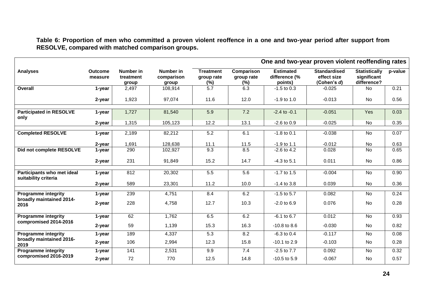**Table 6: Proportion of men who committed a proven violent reoffence in a one and two-year period after support from RESOLVE, compared with matched comparison groups.**

|                                                    |                           |                                 |                                  | One and two-year proven violent reoffending rates |                                    |                                              |                                                   |                                                    |         |
|----------------------------------------------------|---------------------------|---------------------------------|----------------------------------|---------------------------------------------------|------------------------------------|----------------------------------------------|---------------------------------------------------|----------------------------------------------------|---------|
| <b>Analyses</b>                                    | <b>Outcome</b><br>measure | Number in<br>treatment<br>group | Number in<br>comparison<br>group | <b>Treatment</b><br>group rate<br>$(\%)$          | Comparison<br>group rate<br>$(\%)$ | <b>Estimated</b><br>difference (%<br>points) | <b>Standardised</b><br>effect size<br>(Cohen's d) | <b>Statistically</b><br>significant<br>difference? | p-value |
| Overall                                            | 1-year                    | 2,497                           | 108,914                          | $\overline{5.7}$                                  | 6.3                                | $-1.5$ to 0.3                                | $-0.025$                                          | No                                                 | 0.21    |
|                                                    | 2-year                    | 1,923                           | 97,074                           | 11.6                                              | 12.0                               | $-1.9$ to 1.0                                | $-0.013$                                          | No                                                 | 0.56    |
| <b>Participated in RESOLVE</b><br>only             | 1-year                    | 1,727                           | 81,540                           | 5.9                                               | 7.2                                | $-2.4$ to $-0.1$                             | $-0.051$                                          | Yes                                                | 0.03    |
|                                                    | 2-year                    | 1,315                           | 105,123                          | 12.2                                              | 13.1                               | $-2.6$ to $0.9$                              | $-0.025$                                          | No                                                 | 0.35    |
| <b>Completed RESOLVE</b>                           | 1-year                    | 2,189                           | 82,212                           | 5.2                                               | 6.1                                | $-1.8$ to 0.1                                | $-0.038$                                          | No                                                 | 0.07    |
|                                                    | 2-year                    | 1,691                           | 128,638                          | 11.1                                              | 11.5                               | $-1.9$ to 1.1                                | $-0.012$                                          | No                                                 | 0.63    |
| Did not complete RESOLVE                           | 1-year                    | 290                             | 102,927                          | 9.3                                               | 8.5                                | $-2.6$ to 4.2                                | 0.028                                             | <b>No</b>                                          | 0.65    |
|                                                    | 2-year                    | 231                             | 91,849                           | 15.2                                              | 14.7                               | $-4.3$ to $5.1$                              | 0.011                                             | No                                                 | 0.86    |
| Participants who met ideal<br>suitability criteria | 1-year                    | 812                             | 20,302                           | 5.5                                               | 5.6                                | $-1.7$ to $1.5$                              | $-0.004$                                          | No                                                 | 0.90    |
|                                                    | 2-year                    | 589                             | 23,301                           | 11.2                                              | 10.0                               | $-1.4$ to 3.8                                | 0.039                                             | No                                                 | 0.36    |
| <b>Programme integrity</b>                         | 1-year                    | 239                             | 4,751                            | 8.4                                               | 6.2                                | $-1.5$ to 5.7                                | 0.082                                             | No                                                 | 0.24    |
| broadly maintained 2014-<br>2016                   | 2-year                    | 228                             | 4,758                            | 12.7                                              | 10.3                               | $-2.0$ to $6.9$                              | 0.076                                             | <b>No</b>                                          | 0.28    |
| <b>Programme integrity</b>                         | 1-year                    | 62                              | 1,762                            | 6.5                                               | 6.2                                | $-6.1$ to $6.7$                              | 0.012                                             | No                                                 | 0.93    |
| compromised 2014-2016                              | 2-year                    | 59                              | 1,139                            | 15.3                                              | 16.3                               | $-10.8$ to 8.6                               | $-0.030$                                          | No                                                 | 0.82    |
| <b>Programme integrity</b>                         | 1-year                    | 189                             | 4,337                            | $\overline{5.3}$                                  | 8.2                                | $-6.3$ to 0.4                                | $-0.117$                                          | <b>No</b>                                          | 0.08    |
| broadly maintained 2016-<br>2019                   | 2-year                    | 106                             | 2,994                            | 12.3                                              | 15.8                               | $-10.1$ to 2.9                               | $-0.103$                                          | No                                                 | 0.28    |
| <b>Programme integrity</b>                         | 1-year                    | 141                             | 2,531                            | 9.9                                               | 7.4                                | $-2.5$ to $7.7$                              | 0.092                                             | No                                                 | 0.32    |
| compromised 2016-2019                              | 2-year                    | 72                              | 770                              | 12.5                                              | 14.8                               | $-10.5$ to $5.9$                             | $-0.067$                                          | No                                                 | 0.57    |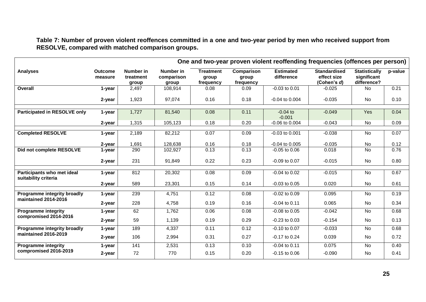**Table 7: Number of proven violent reoffences committed in a one and two-year period by men who received support from RESOLVE, compared with matched comparison groups.**

|                                                     |                           |                                 | One and two-year proven violent reoffending frequencies (offences per person) |                                        |                                  |                                |                                                   |                                                    |         |
|-----------------------------------------------------|---------------------------|---------------------------------|-------------------------------------------------------------------------------|----------------------------------------|----------------------------------|--------------------------------|---------------------------------------------------|----------------------------------------------------|---------|
| <b>Analyses</b>                                     | <b>Outcome</b><br>measure | Number in<br>treatment<br>group | Number in<br>comparison<br>group                                              | <b>Treatment</b><br>group<br>frequency | Comparison<br>group<br>frequency | <b>Estimated</b><br>difference | <b>Standardised</b><br>effect size<br>(Cohen's d) | <b>Statistically</b><br>significant<br>difference? | p-value |
| Overall                                             | 1-year                    | 2,497                           | 108,914                                                                       | 0.08                                   | 0.09                             | $-0.03$ to 0.01                | $-0.025$                                          | <b>No</b>                                          | 0.21    |
|                                                     | 2-year                    | 1,923                           | 97,074                                                                        | 0.16                                   | 0.18                             | $-0.04$ to $0.004$             | $-0.035$                                          | No                                                 | 0.10    |
| <b>Participated in RESOLVE only</b>                 | 1-year                    | 1,727                           | 81,540                                                                        | 0.08                                   | 0.11                             | $-0.04$ to<br>$-0.001$         | $-0.049$                                          | Yes                                                | 0.04    |
|                                                     | 2-year                    | 1,315                           | 105,123                                                                       | 0.18                                   | 0.20                             | $-0.06$ to $0.004$             | $-0.043$                                          | No                                                 | 0.09    |
| <b>Completed RESOLVE</b>                            | 1-year                    | 2,189                           | 82,212                                                                        | 0.07                                   | 0.09                             | $-0.03$ to $0.001$             | $-0.038$                                          | No                                                 | 0.07    |
|                                                     | 2-year                    | 1,691                           | 128,638                                                                       | 0.16                                   | 0.18                             | $-0.04$ to $0.005$             | $-0.035$                                          | No                                                 | 0.12    |
| Did not complete RESOLVE                            | 1-year                    | 290                             | 102,927                                                                       | 0.13                                   | 0.13                             | $-0.05$ to $0.06$              | 0.018                                             | <b>No</b>                                          | 0.76    |
|                                                     | 2-year                    | 231                             | 91,849                                                                        | 0.22                                   | 0.23                             | $-0.09$ to $0.07$              | $-0.015$                                          | <b>No</b>                                          | 0.80    |
| Participants who met ideal<br>suitability criteria  | 1-year                    | 812                             | 20,302                                                                        | 0.08                                   | 0.09                             | $-0.04$ to $0.02$              | $-0.015$                                          | <b>No</b>                                          | 0.67    |
|                                                     | 2-year                    | 589                             | 23,301                                                                        | 0.15                                   | 0.14                             | $-0.03$ to $0.05$              | 0.020                                             | No                                                 | 0.61    |
| Programme integrity broadly<br>maintained 2014-2016 | 1-year                    | 239                             | 4,751                                                                         | 0.12                                   | 0.08                             | $-0.02$ to $0.09$              | 0.095                                             | <b>No</b>                                          | 0.19    |
|                                                     | 2-year                    | 228                             | 4,758                                                                         | 0.19                                   | 0.16                             | $-0.04$ to 0.11                | 0.065                                             | No                                                 | 0.34    |
| <b>Programme integrity</b>                          | 1-year                    | 62                              | 1,762                                                                         | 0.06                                   | 0.08                             | $-0.08$ to $0.05$              | $-0.042$                                          | No                                                 | 0.68    |
| compromised 2014-2016                               | 2-year                    | 59                              | 1,139                                                                         | 0.19                                   | 0.29                             | $-0.23$ to $0.03$              | $-0.154$                                          | No                                                 | 0.13    |
| Programme integrity broadly                         | 1-year                    | 189                             | 4,337                                                                         | 0.11                                   | 0.12                             | $-0.10$ to $0.07$              | $-0.033$                                          | No                                                 | 0.68    |
| maintained 2016-2019                                | 2-year                    | 106                             | 2,994                                                                         | 0.31                                   | 0.27                             | $-0.17$ to 0.24                | 0.039                                             | No                                                 | 0.72    |
| <b>Programme integrity</b>                          | 1-year                    | 141                             | 2,531                                                                         | 0.13                                   | 0.10                             | $-0.04$ to 0.11                | 0.075                                             | <b>No</b>                                          | 0.40    |
| compromised 2016-2019                               | 2-year                    | 72                              | 770                                                                           | 0.15                                   | 0.20                             | $-0.15$ to $0.06$              | $-0.090$                                          | <b>No</b>                                          | 0.41    |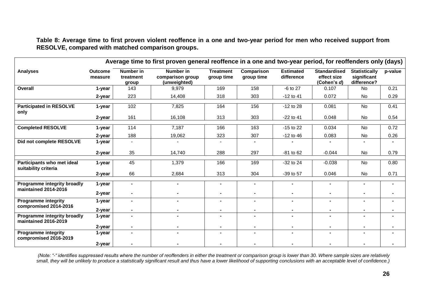**Table 8: Average time to first proven violent reoffence in a one and two-year period for men who received support from RESOLVE, compared with matched comparison groups.**

| Average time to first proven general reoffence in a one and two-year period, for reoffenders only (days) |                           |                                 |                                               |                                |                          |                                |                                                   |                                                    |         |
|----------------------------------------------------------------------------------------------------------|---------------------------|---------------------------------|-----------------------------------------------|--------------------------------|--------------------------|--------------------------------|---------------------------------------------------|----------------------------------------------------|---------|
| <b>Analyses</b>                                                                                          | <b>Outcome</b><br>measure | Number in<br>treatment<br>group | Number in<br>comparison group<br>(unweighted) | <b>Treatment</b><br>group time | Comparison<br>group time | <b>Estimated</b><br>difference | <b>Standardised</b><br>effect size<br>(Cohen's d) | <b>Statistically</b><br>significant<br>difference? | p-value |
| Overall                                                                                                  | 1-year                    | 143                             | 9,979                                         | 169                            | 158                      | -6 to 27                       | 0.107                                             | <b>No</b>                                          | 0.21    |
|                                                                                                          | 2-year                    | 223                             | 14,408                                        | 318                            | 303                      | $-12$ to 41                    | 0.072                                             | No                                                 | 0.29    |
| <b>Participated in RESOLVE</b><br>only                                                                   | 1-year                    | 102                             | 7,825                                         | 164                            | 156                      | $-12$ to 28                    | 0.081                                             | <b>No</b>                                          | 0.41    |
|                                                                                                          | 2-year                    | 161                             | 16,108                                        | 313                            | 303                      | $-22$ to 41                    | 0.048                                             | No                                                 | 0.54    |
| <b>Completed RESOLVE</b>                                                                                 | 1-year                    | 114                             | 7,187                                         | 166                            | 163                      | $-15$ to 22                    | 0.034                                             | <b>No</b>                                          | 0.72    |
|                                                                                                          | 2-year                    | 188                             | 19,062                                        | 323                            | 307                      | $-12$ to 46                    | 0.083                                             | No                                                 | 0.26    |
| Did not complete RESOLVE                                                                                 | 1-year                    | $\blacksquare$                  |                                               |                                |                          |                                |                                                   |                                                    |         |
|                                                                                                          | 2-year                    | 35                              | 14,740                                        | 288                            | 297                      | $-81$ to 62                    | $-0.044$                                          | No                                                 | 0.79    |
| Participants who met ideal<br>suitability criteria                                                       | 1-year                    | 45                              | 1,379                                         | 166                            | 169                      | $-32$ to 24                    | $-0.038$                                          | No                                                 | 0.80    |
|                                                                                                          | 2-year                    | 66                              | 2,684                                         | 313                            | 304                      | -39 to 57                      | 0.046                                             | No                                                 | 0.71    |
| Programme integrity broadly<br>maintained 2014-2016                                                      | 1-year                    | $\blacksquare$                  |                                               | $\blacksquare$                 | ٠                        | ۰                              | $\blacksquare$                                    |                                                    |         |
|                                                                                                          | 2-year                    |                                 |                                               |                                |                          |                                |                                                   |                                                    |         |
| <b>Programme integrity</b><br>compromised 2014-2016                                                      | 1-year                    | $\blacksquare$                  |                                               | $\blacksquare$                 |                          | ٠                              | $\blacksquare$                                    |                                                    |         |
|                                                                                                          | 2-year                    | $\blacksquare$                  |                                               | ۰                              |                          |                                |                                                   |                                                    |         |
| Programme integrity broadly<br>maintained 2016-2019                                                      | 1-year                    | $\blacksquare$                  |                                               | ÷.                             |                          |                                | ۰.                                                |                                                    |         |
|                                                                                                          | 2-year                    | ۰                               |                                               |                                |                          |                                |                                                   |                                                    |         |
| <b>Programme integrity</b><br>compromised 2016-2019                                                      | 1-year                    | $\blacksquare$                  |                                               | ٠                              |                          | ٠                              | $\blacksquare$                                    |                                                    |         |
|                                                                                                          | 2-year                    |                                 |                                               |                                |                          |                                |                                                   |                                                    |         |

*(Note: "-" identifies suppressed results where the number of reoffenders in either the treatment or comparison group is lower than 30. Where sample sizes are relatively small, they will be unlikely to produce a statistically significant result and thus have a lower likelihood of supporting conclusions with an acceptable level of confidence.)*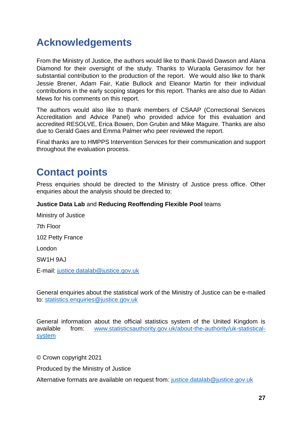# <span id="page-26-0"></span>**Acknowledgements**

From the Ministry of Justice, the authors would like to thank David Dawson and Alana Diamond for their oversight of the study. Thanks to Wuraola Gerasimov for her substantial contribution to the production of the report. We would also like to thank Jessie Brener, Adam Fair, Katie Bullock and Eleanor Martin for their individual contributions in the early scoping stages for this report. Thanks are also due to Aidan Mews for his comments on this report.

The authors would also like to thank members of CSAAP (Correctional Services Accreditation and Advice Panel) who provided advice for this evaluation and accredited RESOLVE, Erica Bowen, Don Grubin and Mike Maguire. Thanks are also due to Gerald Gaes and Emma Palmer who peer reviewed the report.

Final thanks are to HMPPS Intervention Services for their communication and support throughout the evaluation process.

# <span id="page-26-1"></span>**Contact points**

Press enquiries should be directed to the Ministry of Justice press office. Other enquiries about the analysis should be directed to:

#### **Justice Data Lab** and **Reducing Reoffending Flexible Pool** teams

Ministry of Justice 7th Floor 102 Petty France London SW1H 9AJ E-mail: [justice.datalab@justice.gov.uk](mailto:justice.datalab@justice.gov.uk)

General enquiries about the statistical work of the Ministry of Justice can be e-mailed to: [statistics.enquiries@justice.gov.uk](mailto:statistics.enquiries@justice.gov.uk)

General information about the official statistics system of the United Kingdom is available from: [www.statisticsauthority.gov.uk/about-the-authority/uk-statistical](http://www.statisticsauthority.gov.uk/about-the-authority/uk-statistical-system)[system](http://www.statisticsauthority.gov.uk/about-the-authority/uk-statistical-system)

© Crown copyright 2021

Produced by the Ministry of Justice

Alternative formats are available on request from: [justice.datalab@justice.gov.uk](mailto:justice.datalab@justice.gov.uk)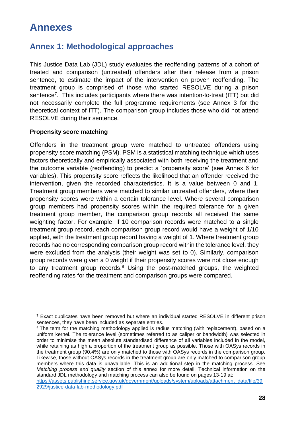# **Annexes**

# <span id="page-27-0"></span>**Annex 1: Methodological approaches**

<span id="page-27-1"></span>This Justice Data Lab (JDL) study evaluates the reoffending patterns of a cohort of treated and comparison (untreated) offenders after their release from a prison sentence, to estimate the impact of the intervention on proven reoffending. The treatment group is comprised of those who started RESOLVE during a prison sentence<sup>7</sup>. This includes participants where there was intention-to-treat (ITT) but did not necessarily complete the full programme requirements (see Annex 3 for the theoretical context of ITT). The comparison group includes those who did not attend RESOLVE during their sentence.

#### **Propensity score matching**

Offenders in the treatment group were matched to untreated offenders using propensity score matching (PSM). PSM is a statistical matching technique which uses factors theoretically and empirically associated with both receiving the treatment and the outcome variable (reoffending) to predict a 'propensity score' (see Annex 6 for variables). This propensity score reflects the likelihood that an offender received the intervention, given the recorded characteristics. It is a value between 0 and 1. Treatment group members were matched to similar untreated offenders, where their propensity scores were within a certain tolerance level. Where several comparison group members had propensity scores within the required tolerance for a given treatment group member, the comparison group records all received the same weighting factor. For example, if 10 comparison records were matched to a single treatment group record, each comparison group record would have a weight of 1/10 applied, with the treatment group record having a weight of 1. Where treatment group records had no corresponding comparison group record within the tolerance level, they were excluded from the analysis (their weight was set to 0). Similarly, comparison group records were given a 0 weight if their propensity scores were not close enough to any treatment group records. $8$  Using the post-matched groups, the weighted reoffending rates for the treatment and comparison groups were compared.

 $7$  Exact duplicates have been removed but where an individual started RESOLVE in different prison sentences, they have been included as separate entries.

<sup>&</sup>lt;sup>8</sup> The term for the matching methodology applied is radius matching (with replacement), based on a uniform kernel. The tolerance level (sometimes referred to as caliper or bandwidth) was selected in order to minimise the mean absolute standardised difference of all variables included in the model, while retaining as high a proportion of the treatment group as possible. Those with OASys records in the treatment group (90.4%) are only matched to those with OASys records in the comparison group. Likewise, those without OASys records in the treatment group are only matched to comparison group members where this data is unavailable. This is an additional step in the matching process. See *Matching process and quality* section of this annex for more detail. Technical information on the standard JDL methodology and matching process can also be found on pages 13-19 at:

[https://assets.publishing.service.gov.uk/government/uploads/system/uploads/attachment\\_data/file/39](https://assets.publishing.service.gov.uk/government/uploads/system/uploads/attachment_data/file/392929/justice-data-lab-methodology.pdf) [2929/justice-data-lab-methodology.pdf](https://assets.publishing.service.gov.uk/government/uploads/system/uploads/attachment_data/file/392929/justice-data-lab-methodology.pdf)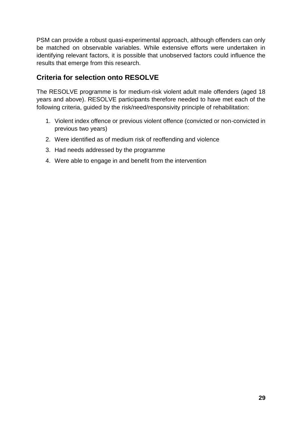PSM can provide a robust quasi-experimental approach, although offenders can only be matched on observable variables. While extensive efforts were undertaken in identifying relevant factors, it is possible that unobserved factors could influence the results that emerge from this research.

# **Criteria for selection onto RESOLVE**

The RESOLVE programme is for medium-risk violent adult male offenders (aged 18 years and above). RESOLVE participants therefore needed to have met each of the following criteria, guided by the risk/need/responsivity principle of rehabilitation:

- 1. Violent index offence or previous violent offence (convicted or non-convicted in previous two years)
- 2. Were identified as of medium risk of reoffending and violence
- 3. Had needs addressed by the programme
- 4. Were able to engage in and benefit from the intervention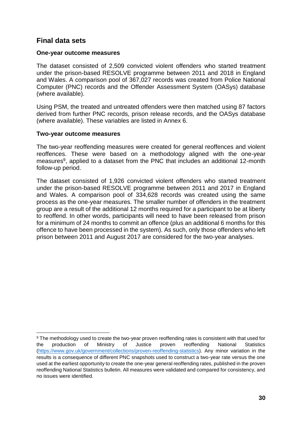# **Final data sets**

#### **One-year outcome measures**

The dataset consisted of 2,509 convicted violent offenders who started treatment under the prison-based RESOLVE programme between 2011 and 2018 in England and Wales. A comparison pool of 367,027 records was created from Police National Computer (PNC) records and the Offender Assessment System (OASys) database (where available).

Using PSM, the treated and untreated offenders were then matched using 87 factors derived from further PNC records, prison release records, and the OASys database (where available). These variables are listed in Annex 6.

#### **Two-year outcome measures**

The two-year reoffending measures were created for general reoffences and violent reoffences. These were based on a methodology aligned with the one-year measures<sup>9</sup>, applied to a dataset from the PNC that includes an additional 12-month follow-up period.

The dataset consisted of 1,926 convicted violent offenders who started treatment under the prison-based RESOLVE programme between 2011 and 2017 in England and Wales. A comparison pool of 334,628 records was created using the same process as the one-year measures. The smaller number of offenders in the treatment group are a result of the additional 12 months required for a participant to be at liberty to reoffend. In other words, participants will need to have been released from prison for a minimum of 24 months to commit an offence (plus an additional 6 months for this offence to have been processed in the system). As such, only those offenders who left prison between 2011 and August 2017 are considered for the two-year analyses.

<sup>9</sup> The methodology used to create the two-year proven reoffending rates is consistent with that used for the production of Ministry of Justice proven reoffending National Statistics [\(https://www.gov.uk/government/collections/proven-reoffending-statistics\)](https://www.gov.uk/government/collections/proven-reoffending-statistics). Any minor variation in the results is a consequence of different PNC snapshots used to construct a two-year rate versus the one used at the earliest opportunity to create the one-year general reoffending rates, published in the proven reoffending National Statistics bulletin. All measures were validated and compared for consistency, and no issues were identified.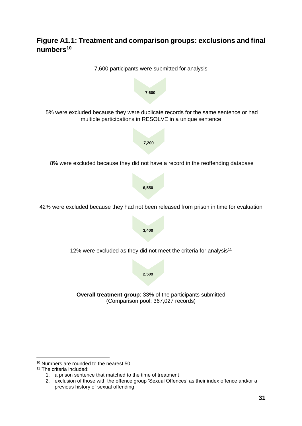# **Figure A1.1: Treatment and comparison groups: exclusions and final numbers<sup>10</sup>**



<sup>10</sup> Numbers are rounded to the nearest 50.

<sup>&</sup>lt;sup>11</sup> The criteria included:

<sup>1.</sup> a prison sentence that matched to the time of treatment

<sup>2.</sup> exclusion of those with the offence group 'Sexual Offences' as their index offence and/or a previous history of sexual offending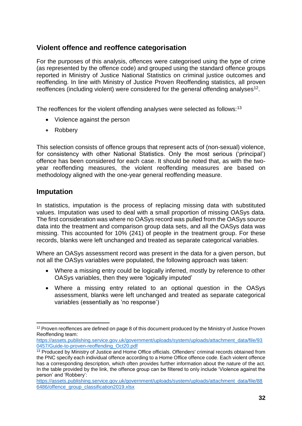# **Violent offence and reoffence categorisation**

For the purposes of this analysis, offences were categorised using the type of crime (as represented by the offence code) and grouped using the standard offence groups reported in Ministry of Justice National Statistics on criminal justice outcomes and reoffending. In line with Ministry of Justice Proven Reoffending statistics, all proven reoffences (including violent) were considered for the general offending analyses<sup>12</sup>.

The reoffences for the violent offending analyses were selected as follows:<sup>13</sup>

- Violence against the person
- Robbery

This selection consists of offence groups that represent acts of (non-sexual) violence, for consistency with other National Statistics. Only the most serious ('principal') offence has been considered for each case. It should be noted that, as with the twoyear reoffending measures, the violent reoffending measures are based on methodology aligned with the one-year general reoffending measure.

# **Imputation**

In statistics, imputation is the process of replacing missing data with substituted values. Imputation was used to deal with a small proportion of missing OASys data. The first consideration was where no OASys record was pulled from the OASys source data into the treatment and comparison group data sets, and all the OASys data was missing. This accounted for 10% (241) of people in the treatment group. For these records, blanks were left unchanged and treated as separate categorical variables.

Where an OASys assessment record was present in the data for a given person, but not all the OASys variables were populated, the following approach was taken:

- Where a missing entry could be logically inferred, mostly by reference to other OASys variables, then they were 'logically imputed'
- Where a missing entry related to an optional question in the OASys assessment, blanks were left unchanged and treated as separate categorical variables (essentially as 'no response')

<sup>&</sup>lt;sup>12</sup> Proven reoffences are defined on page 8 of this document produced by the Ministry of Justice Proven Reoffending team:

[https://assets.publishing.service.gov.uk/government/uploads/system/uploads/attachment\\_data/file/93](https://assets.publishing.service.gov.uk/government/uploads/system/uploads/attachment_data/file/930457/Guide-to-proven-reoffending_Oct20.pdf) [0457/Guide-to-proven-reoffending\\_Oct20.pdf](https://assets.publishing.service.gov.uk/government/uploads/system/uploads/attachment_data/file/930457/Guide-to-proven-reoffending_Oct20.pdf)

<sup>&</sup>lt;sup>13</sup> Produced by Ministry of Justice and Home Office officials. Offenders' criminal records obtained from the PNC specify each individual offence according to a Home Office offence code. Each violent offence has a corresponding description, which often provides further information about the nature of the act. In the table provided by the link, the offence group can be filtered to only include 'Violence against the person' and 'Robbery':

[https://assets.publishing.service.gov.uk/government/uploads/system/uploads/attachment\\_data/file/88](https://assets.publishing.service.gov.uk/government/uploads/system/uploads/attachment_data/file/886486/offence_group_classification2019.xlsx) [6486/offence\\_group\\_classification2019.xlsx](https://assets.publishing.service.gov.uk/government/uploads/system/uploads/attachment_data/file/886486/offence_group_classification2019.xlsx)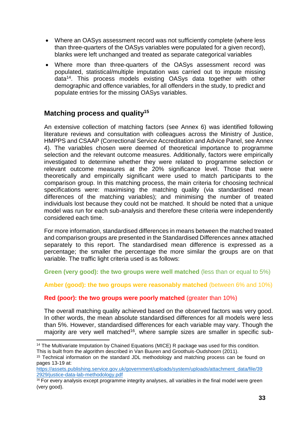- Where an OASys assessment record was not sufficiently complete (where less than three-quarters of the OASys variables were populated for a given record), blanks were left unchanged and treated as separate categorical variables
- Where more than three-quarters of the OASys assessment record was populated, statistical/multiple imputation was carried out to impute missing data<sup>14</sup>. This process models existing OASys data together with other demographic and offence variables, for all offenders in the study, to predict and populate entries for the missing OASys variables.

# **Matching process and quality<sup>15</sup>**

An extensive collection of matching factors (see Annex 6) was identified following literature reviews and consultation with colleagues across the Ministry of Justice, HMPPS and CSAAP (Correctional Service Accreditation and Advice Panel, see Annex 4). The variables chosen were deemed of theoretical importance to programme selection and the relevant outcome measures. Additionally, factors were empirically investigated to determine whether they were related to programme selection or relevant outcome measures at the 20% significance level. Those that were theoretically and empirically significant were used to match participants to the comparison group. In this matching process, the main criteria for choosing technical specifications were: maximising the matching quality (via standardised mean differences of the matching variables); and minimising the number of treated individuals lost because they could not be matched. It should be noted that a unique model was run for each sub-analysis and therefore these criteria were independently considered each time.

For more information, standardised differences in means between the matched treated and comparison groups are presented in the Standardised Differences annex attached separately to this report. The standardised mean difference is expressed as a percentage; the smaller the percentage the more similar the groups are on that variable. The traffic light criteria used is as follows:

**Green (very good): the two groups were well matched** (less than or equal to 5%)

**Amber (good): the two groups were reasonably matched** (between 6% and 10%)

### **Red (poor): the two groups were poorly matched** (greater than 10%)

The overall matching quality achieved based on the observed factors was very good. In other words, the mean absolute standardised differences for all models were less than 5%. However, standardised differences for each variable may vary. Though the majority are very well matched<sup>16</sup>, where sample sizes are smaller in specific sub-

<sup>&</sup>lt;sup>14</sup> The Multivariate Imputation by Chained Equations (MICE) R package was used for this condition. This is built from the algorithm described in Van Buuren and Groothuis-Oudshoorn (2011).

<sup>&</sup>lt;sup>15</sup> Technical information on the standard JDL methodology and matching process can be found on pages 13-19 at:

[https://assets.publishing.service.gov.uk/government/uploads/system/uploads/attachment\\_data/file/39](https://assets.publishing.service.gov.uk/government/uploads/system/uploads/attachment_data/file/392929/justice-data-lab-methodology.pdf) [2929/justice-data-lab-methodology.pdf](https://assets.publishing.service.gov.uk/government/uploads/system/uploads/attachment_data/file/392929/justice-data-lab-methodology.pdf)

<sup>&</sup>lt;sup>16</sup> For every analysis except programme integrity analyses, all variables in the final model were green (very good).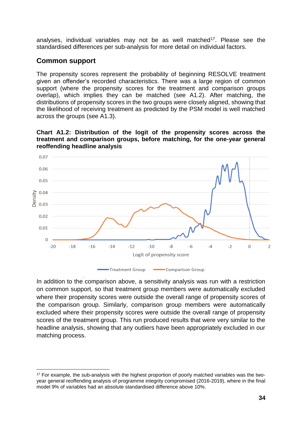analyses, individual variables may not be as well matched<sup>17</sup>. Please see the standardised differences per sub-analysis for more detail on individual factors.

# **Common support**

The propensity scores represent the probability of beginning RESOLVE treatment given an offender's recorded characteristics. There was a large region of common support (where the propensity scores for the treatment and comparison groups overlap), which implies they can be matched (see A1.2). After matching, the distributions of propensity scores in the two groups were closely aligned, showing that the likelihood of receiving treatment as predicted by the PSM model is well matched across the groups (see A1.3).

**Chart A1.2: Distribution of the logit of the propensity scores across the treatment and comparison groups, before matching, for the one-year general reoffending headline analysis** 



In addition to the comparison above, a sensitivity analysis was run with a restriction on common support, so that treatment group members were automatically excluded where their propensity scores were outside the overall range of propensity scores of the comparison group. Similarly, comparison group members were automatically excluded where their propensity scores were outside the overall range of propensity scores of the treatment group. This run produced results that were very similar to the headline analysis, showing that any outliers have been appropriately excluded in our matching process.

<sup>&</sup>lt;sup>17</sup> For example, the sub-analysis with the highest proportion of poorly matched variables was the twoyear general reoffending analysis of programme integrity compromised (2016-2019), where in the final model 9% of variables had an absolute standardised difference above 10%.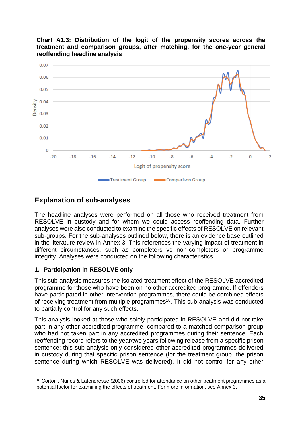



# **Explanation of sub-analyses**

The headline analyses were performed on all those who received treatment from RESOLVE in custody and for whom we could access reoffending data. Further analyses were also conducted to examine the specific effects of RESOLVE on relevant sub-groups. For the sub-analyses outlined below, there is an evidence base outlined in the literature review in Annex 3. This references the varying impact of treatment in different circumstances, such as completers vs non-completers or programme integrity. Analyses were conducted on the following characteristics.

### **1. Participation in RESOLVE only**

This sub-analysis measures the isolated treatment effect of the RESOLVE accredited programme for those who have been on no other accredited programme. If offenders have participated in other intervention programmes, there could be combined effects of receiving treatment from multiple programmes<sup>18</sup>. This sub-analysis was conducted to partially control for any such effects.

This analysis looked at those who solely participated in RESOLVE and did not take part in any other accredited programme, compared to a matched comparison group who had not taken part in any accredited programmes during their sentence. Each reoffending record refers to the year/two years following release from a specific prison sentence; this sub-analysis only considered other accredited programmes delivered in custody during that specific prison sentence (for the treatment group, the prison sentence during which RESOLVE was delivered). It did not control for any other

<sup>&</sup>lt;sup>18</sup> Cortoni, Nunes & Latendresse (2006) controlled for attendance on other treatment programmes as a potential factor for examining the effects of treatment. For more information, see Annex 3.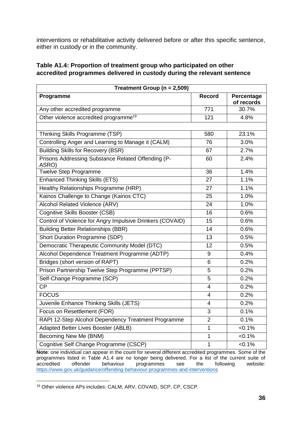interventions or rehabilitative activity delivered before or after this specific sentence, either in custody or in the community.

#### **Table A1.4: Proportion of treatment group who participated on other accredited programmes delivered in custody during the relevant sentence**

| Treatment Group ( $n = 2,509$ )                             |                |                          |  |
|-------------------------------------------------------------|----------------|--------------------------|--|
| Programme                                                   | <b>Record</b>  | Percentage<br>of records |  |
| Any other accredited programme                              | 771            | 30.7%                    |  |
| Other violence accredited programme <sup>19</sup>           | 121            | 4.8%                     |  |
|                                                             |                |                          |  |
| Thinking Skills Programme (TSP)                             | 580            | 23.1%                    |  |
| Controlling Anger and Learning to Manage it (CALM)          | 76             | 3.0%                     |  |
| <b>Building Skills for Recovery (BSR)</b>                   | 67             | 2.7%                     |  |
| Prisons Addressing Substance Related Offending (P-<br>ASRO) | 60             | 2.4%                     |  |
| <b>Twelve Step Programme</b>                                | 36             | 1.4%                     |  |
| <b>Enhanced Thinking Skills (ETS)</b>                       | 27             | 1.1%                     |  |
| Healthy Relationships Programme (HRP)                       | 27             | 1.1%                     |  |
| Kainos Challenge to Change (Kainos CTC)                     | 25             | 1.0%                     |  |
| Alcohol Related Violence (ARV)                              | 24             | 1.0%                     |  |
| Cognitive Skills Booster (CSB)                              | 16             | 0.6%                     |  |
| Control of Violence for Angry Impulsive Drinkers (COVAID)   | 15             | 0.6%                     |  |
| <b>Building Better Relationships (BBR)</b>                  | 14             | 0.6%                     |  |
| Short Duration Programme (SDP)                              | 13             | 0.5%                     |  |
| Democratic Therapeutic Community Model (DTC)                | 12             | 0.5%                     |  |
| Alcohol Dependence Treatment Programme (ADTP)               | 9              | 0.4%                     |  |
| Bridges (short version of RAPT)                             | 6              | 0.2%                     |  |
| Prison Partnership Twelve Step Programme (PPTSP)            | 5              | 0.2%                     |  |
| Self-Change Programme (SCP)                                 | 5              | 0.2%                     |  |
| <b>CP</b>                                                   | 4              | 0.2%                     |  |
| <b>FOCUS</b>                                                | 4              | 0.2%                     |  |
| Juvenile Enhance Thinking Skills (JETS)                     | 4              | 0.2%                     |  |
| Focus on Resettlement (FOR)                                 | 3              | 0.1%                     |  |
| RAPt 12-Step Alcohol Dependency Treatment Programme         | $\overline{2}$ | 0.1%                     |  |
| Adapted Better Lives Booster (ABLB)                         | 1              | $< 0.1\%$                |  |
| Becoming New Me (BNM)                                       | 1              | $< 0.1\%$                |  |
| Cognitive Self Change Programme (CSCP)                      | 1              | $< 0.1\%$                |  |

**Note**: one individual can appear in the count for several different accredited programmes. Some of the programmes listed in Table A1.4 are no longer being delivered. For a list of the current suite of accredited offender behaviour programmes see the following website: programmes <https://www.gov.uk/guidance/offending-behaviour-programmes-and-interventions>

<sup>19</sup> Other violence APs includes: CALM, ARV, COVAID, SCP, CP, CSCP.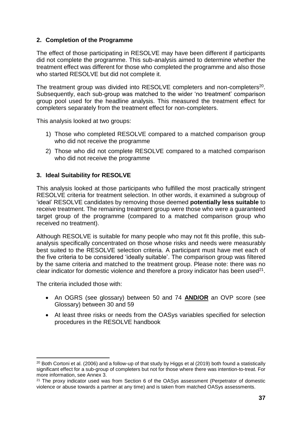### **2. Completion of the Programme**

The effect of those participating in RESOLVE may have been different if participants did not complete the programme. This sub-analysis aimed to determine whether the treatment effect was different for those who completed the programme and also those who started RESOLVE but did not complete it.

The treatment group was divided into RESOLVE completers and non-completers<sup>20</sup>. Subsequently, each sub-group was matched to the wider 'no treatment' comparison group pool used for the headline analysis. This measured the treatment effect for completers separately from the treatment effect for non-completers.

This analysis looked at two groups:

- 1) Those who completed RESOLVE compared to a matched comparison group who did not receive the programme
- 2) Those who did not complete RESOLVE compared to a matched comparison who did not receive the programme

### **3. Ideal Suitability for RESOLVE**

This analysis looked at those participants who fulfilled the most practically stringent RESOLVE criteria for treatment selection. In other words, it examined a subgroup of 'ideal' RESOLVE candidates by removing those deemed **potentially less suitable** to receive treatment. The remaining treatment group were those who were a guaranteed target group of the programme (compared to a matched comparison group who received no treatment).

Although RESOLVE is suitable for many people who may not fit this profile, this subanalysis specifically concentrated on those whose risks and needs were measurably best suited to the RESOLVE selection criteria. A participant must have met each of the five criteria to be considered 'ideally suitable'. The comparison group was filtered by the same criteria and matched to the treatment group. Please note: there was no clear indicator for domestic violence and therefore a proxy indicator has been used<sup>21</sup>.

The criteria included those with:

- An OGRS (see glossary) between 50 and 74 **AND/OR** an OVP score (see Glossary) between 30 and 59
- At least three risks or needs from the OASys variables specified for selection procedures in the RESOLVE handbook

<sup>&</sup>lt;sup>20</sup> Both Cortoni et al. (2006) and a follow-up of that study by Higgs et al (2019) both found a statistically significant effect for a sub-group of completers but not for those where there was intention-to-treat. For more information, see Annex 3.

<sup>&</sup>lt;sup>21</sup> The proxy indicator used was from Section 6 of the OASys assessment (Perpetrator of domestic violence or abuse towards a partner at any time) and is taken from matched OASys assessments.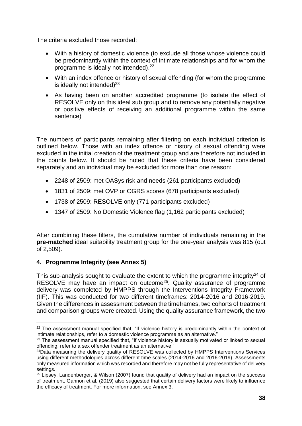The criteria excluded those recorded:

- With a history of domestic violence (to exclude all those whose violence could be predominantly within the context of intimate relationships and for whom the programme is ideally not intended).<sup>22</sup>
- With an index offence or history of sexual offending (for whom the programme is ideally not intended) $^{23}$
- As having been on another accredited programme (to isolate the effect of RESOLVE only on this ideal sub group and to remove any potentially negative or positive effects of receiving an additional programme within the same sentence)

The numbers of participants remaining after filtering on each individual criterion is outlined below. Those with an index offence or history of sexual offending were excluded in the initial creation of the treatment group and are therefore not included in the counts below. It should be noted that these criteria have been considered separately and an individual may be excluded for more than one reason:

- 2248 of 2509: met OASys risk and needs (261 participants excluded)
- 1831 of 2509: met OVP or OGRS scores (678 participants excluded)
- 1738 of 2509: RESOLVE only (771 participants excluded)
- 1347 of 2509: No Domestic Violence flag (1,162 participants excluded)

After combining these filters, the cumulative number of individuals remaining in the **pre-matched** ideal suitability treatment group for the one-year analysis was 815 (out of 2,509).

### **4. Programme Integrity (see Annex 5)**

This sub-analysis sought to evaluate the extent to which the programme integrity<sup>24</sup> of RESOLVE may have an impact on outcome<sup>25</sup>. Quality assurance of programme delivery was completed by HMPPS through the Interventions Integrity Framework (IIF). This was conducted for two different timeframes: 2014-2016 and 2016-2019. Given the differences in assessment between the timeframes, two cohorts of treatment and comparison groups were created. Using the quality assurance framework, the two

<sup>&</sup>lt;sup>22</sup> The assessment manual specified that, "If violence history is predominantly within the context of intimate relationships, refer to a domestic violence programme as an alternative."

<sup>&</sup>lt;sup>23</sup> The assessment manual specified that, "If violence history is sexually motivated or linked to sexual offending, refer to a sex offender treatment as an alternative."

<sup>&</sup>lt;sup>24</sup>Data measuring the delivery quality of RESOLVE was collected by HMPPS Interventions Services using different methodologies across different time scales (2014-2016 and 2016-2019). Assessments only measured information which was recorded and therefore may not be fully representative of delivery settings.

<sup>&</sup>lt;sup>25</sup> Lipsey, Landenberger, & Wilson (2007) found that quality of delivery had an impact on the success of treatment. Gannon et al. (2019) also suggested that certain delivery factors were likely to influence the efficacy of treatment. For more information, see Annex 3.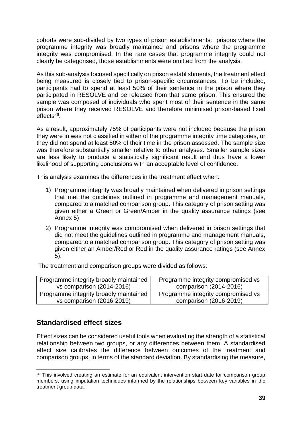cohorts were sub-divided by two types of prison establishments: prisons where the programme integrity was broadly maintained and prisons where the programme integrity was compromised. In the rare cases that programme integrity could not clearly be categorised, those establishments were omitted from the analysis.

As this sub-analysis focused specifically on prison establishments, the treatment effect being measured is closely tied to prison-specific circumstances. To be included, participants had to spend at least 50% of their sentence in the prison where they participated in RESOLVE and be released from that same prison. This ensured the sample was composed of individuals who spent most of their sentence in the same prison where they received RESOLVE and therefore minimised prison-based fixed effects<sup>26</sup>.

As a result, approximately 75% of participants were not included because the prison they were in was not classified in either of the programme integrity time categories, or they did not spend at least 50% of their time in the prison assessed. The sample size was therefore substantially smaller relative to other analyses. Smaller sample sizes are less likely to produce a statistically significant result and thus have a lower likelihood of supporting conclusions with an acceptable level of confidence.

This analysis examines the differences in the treatment effect when:

- 1) Programme integrity was broadly maintained when delivered in prison settings that met the guidelines outlined in programme and management manuals, compared to a matched comparison group. This category of prison setting was given either a Green or Green/Amber in the quality assurance ratings (see Annex 5)
- 2) Programme integrity was compromised when delivered in prison settings that did not meet the guidelines outlined in programme and management manuals, compared to a matched comparison group. This category of prison setting was given either an Amber/Red or Red in the quality assurance ratings (see Annex 5).

| Programme integrity broadly maintained | Programme integrity compromised vs |
|----------------------------------------|------------------------------------|
| vs comparison (2014-2016)              | comparison (2014-2016)             |
| Programme integrity broadly maintained | Programme integrity compromised vs |
| vs comparison (2016-2019)              | comparison (2016-2019)             |

The treatment and comparison groups were divided as follows:

# **Standardised effect sizes**

Effect sizes can be considered useful tools when evaluating the strength of a statistical relationship between two groups, or any differences between them. A standardised effect size calibrates the difference between outcomes of the treatment and comparison groups, in terms of the standard deviation. By standardising the measure,

<sup>&</sup>lt;sup>26</sup> This involved creating an estimate for an equivalent intervention start date for comparison group members, using imputation techniques informed by the relationships between key variables in the treatment group data.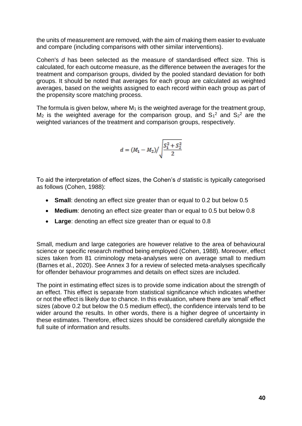the units of measurement are removed, with the aim of making them easier to evaluate and compare (including comparisons with other similar interventions).

Cohen's *d* has been selected as the measure of standardised effect size. This is calculated, for each outcome measure, as the difference between the averages for the treatment and comparison groups, divided by the pooled standard deviation for both groups. It should be noted that averages for each group are calculated as weighted averages, based on the weights assigned to each record within each group as part of the propensity score matching process.

The formula is given below, where  $M_1$  is the weighted average for the treatment group,  $M_2$  is the weighted average for the comparison group, and  $S_1^2$  and  $S_2^2$  are the weighted variances of the treatment and comparison groups, respectively.

$$
d = (M_1 - M_2) / \sqrt{\frac{S_1^2 + S_2^2}{2}}
$$

To aid the interpretation of effect sizes, the Cohen's *d* statistic is typically categorised as follows (Cohen, 1988):

- **Small**: denoting an effect size greater than or equal to 0.2 but below 0.5
- **Medium**: denoting an effect size greater than or equal to 0.5 but below 0.8
- **Large**: denoting an effect size greater than or equal to 0.8

Small, medium and large categories are however relative to the area of behavioural science or specific research method being employed (Cohen, 1988). Moreover, effect sizes taken from 81 criminology meta-analyses were on average small to medium (Barnes et al., 2020). See Annex 3 for a review of selected meta-analyses specifically for offender behaviour programmes and details on effect sizes are included.

The point in estimating effect sizes is to provide some indication about the strength of an effect. This effect is separate from statistical significance which indicates whether or not the effect is likely due to chance. In this evaluation, where there are 'small' effect sizes (above 0.2 but below the 0.5 medium effect), the confidence intervals tend to be wider around the results. In other words, there is a higher degree of uncertainty in these estimates. Therefore, effect sizes should be considered carefully alongside the full suite of information and results.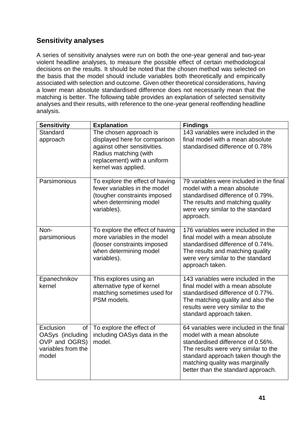# **Sensitivity analyses**

A series of sensitivity analyses were run on both the one-year general and two-year violent headline analyses, to measure the possible effect of certain methodological decisions on the results. It should be noted that the chosen method was selected on the basis that the model should include variables both theoretically and empirically associated with selection and outcome. Given other theoretical considerations, having a lower mean absolute standardised difference does not necessarily mean that the matching is better. The following table provides an explanation of selected sensitivity analyses and their results, with reference to the one-year general reoffending headline analysis.

| <b>Sensitivity</b>                                                                  | <b>Explanation</b>                                                                                                                                                     | <b>Findings</b>                                                                                                                                                                                                                                                   |
|-------------------------------------------------------------------------------------|------------------------------------------------------------------------------------------------------------------------------------------------------------------------|-------------------------------------------------------------------------------------------------------------------------------------------------------------------------------------------------------------------------------------------------------------------|
| Standard<br>approach                                                                | The chosen approach is<br>displayed here for comparison<br>against other sensitivities.<br>Radius matching (with<br>replacement) with a uniform<br>kernel was applied. | 143 variables were included in the<br>final model with a mean absolute<br>standardised difference of 0.78%                                                                                                                                                        |
| Parsimonious                                                                        | To explore the effect of having<br>fewer variables in the model<br>(tougher constraints imposed<br>when determining model<br>variables).                               | 79 variables were included in the final<br>model with a mean absolute<br>standardised difference of 0.79%.<br>The results and matching quality<br>were very similar to the standard<br>approach.                                                                  |
| Non-<br>parsimonious                                                                | To explore the effect of having<br>more variables in the model<br>(looser constraints imposed<br>when determining model<br>variables).                                 | 176 variables were included in the<br>final model with a mean absolute<br>standardised difference of 0.74%.<br>The results and matching quality<br>were very similar to the standard<br>approach taken.                                                           |
| Epanechnikov<br>kernel                                                              | This explores using an<br>alternative type of kernel<br>matching sometimes used for<br>PSM models.                                                                     | 143 variables were included in the<br>final model with a mean absolute<br>standardised difference of 0.77%.<br>The matching quality and also the<br>results were very similar to the<br>standard approach taken.                                                  |
| Exclusion<br>of<br>OASys (including<br>OVP and OGRS)<br>variables from the<br>model | To explore the effect of<br>including OASys data in the<br>model.                                                                                                      | 64 variables were included in the final<br>model with a mean absolute<br>standardised difference of 0.56%.<br>The results were very similar to the<br>standard approach taken though the<br>matching quality was marginally<br>better than the standard approach. |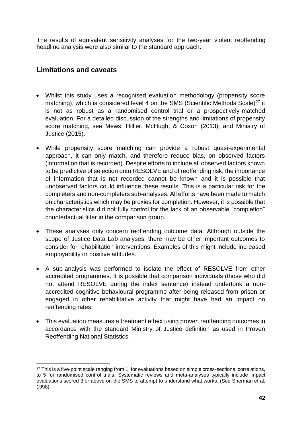The results of equivalent sensitivity analyses for the two-year violent reoffending headline analysis were also similar to the standard approach.

# **Limitations and caveats**

- Whilst this study uses a recognised evaluation methodology (propensity score matching), which is considered level 4 on the SMS (Scientific Methods Scale)<sup>27</sup> it is not as robust as a randomised control trial or a prospectively-matched evaluation. For a detailed discussion of the strengths and limitations of propensity score matching, see Mews, Hillier, McHugh, & Coxon (2013), and Ministry of Justice (2015).
- While propensity score matching can provide a robust quasi-experimental approach, it can only match, and therefore reduce bias, on observed factors (information that is recorded). Despite efforts to include all observed factors known to be predictive of selection onto RESOLVE and of reoffending risk, the importance of information that is not recorded cannot be known and it is possible that unobserved factors could influence these results. This is a particular risk for the completers and non-completers sub-analyses. All efforts have been made to match on characteristics which may be proxies for completion. However, it is possible that the characteristics did not fully control for the lack of an observable "completion" counterfactual filter in the comparison group.
- These analyses only concern reoffending outcome data. Although outside the scope of Justice Data Lab analyses, there may be other important outcomes to consider for rehabilitation interventions. Examples of this might include increased employability or positive attitudes.
- A sub-analysis was performed to isolate the effect of RESOLVE from other accredited programmes. It is possible that comparison individuals (those who did not attend RESOLVE during the index sentence) instead undertook a nonaccredited cognitive behavioural programme after being released from prison or engaged in other rehabilitative activity that might have had an impact on reoffending rates.
- This evaluation measures a treatment effect using proven reoffending outcomes in accordance with the standard Ministry of Justice definition as used in Proven Reoffending National Statistics.

<sup>&</sup>lt;sup>27</sup> This is a five-point scale ranging from 1, for evaluations based on simple cross-sectional correlations, to 5 for randomised control trials. Systematic reviews and meta-analyses typically include impact evaluations scored 3 or above on the SMS to attempt to understand what works. (See Sherman et al. 1998).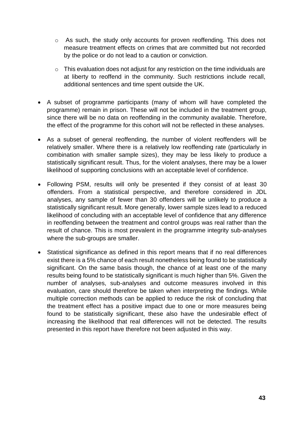- o As such, the study only accounts for proven reoffending. This does not measure treatment effects on crimes that are committed but not recorded by the police or do not lead to a caution or conviction.
- o This evaluation does not adjust for any restriction on the time individuals are at liberty to reoffend in the community. Such restrictions include recall, additional sentences and time spent outside the UK.
- A subset of programme participants (many of whom will have completed the programme) remain in prison. These will not be included in the treatment group, since there will be no data on reoffending in the community available. Therefore, the effect of the programme for this cohort will not be reflected in these analyses.
- As a subset of general reoffending, the number of violent reoffenders will be relatively smaller. Where there is a relatively low reoffending rate (particularly in combination with smaller sample sizes), they may be less likely to produce a statistically significant result. Thus, for the violent analyses, there may be a lower likelihood of supporting conclusions with an acceptable level of confidence.
- Following PSM, results will only be presented if they consist of at least 30 offenders. From a statistical perspective, and therefore considered in JDL analyses, any sample of fewer than 30 offenders will be unlikely to produce a statistically significant result. More generally, lower sample sizes lead to a reduced likelihood of concluding with an acceptable level of confidence that any difference in reoffending between the treatment and control groups was real rather than the result of chance. This is most prevalent in the programme integrity sub-analyses where the sub-groups are smaller.
- Statistical significance as defined in this report means that if no real differences exist there is a 5% chance of each result nonetheless being found to be statistically significant. On the same basis though, the chance of at least one of the many results being found to be statistically significant is much higher than 5%. Given the number of analyses, sub-analyses and outcome measures involved in this evaluation, care should therefore be taken when interpreting the findings. While multiple correction methods can be applied to reduce the risk of concluding that the treatment effect has a positive impact due to one or more measures being found to be statistically significant, these also have the undesirable effect of increasing the likelihood that real differences will not be detected. The results presented in this report have therefore not been adjusted in this way.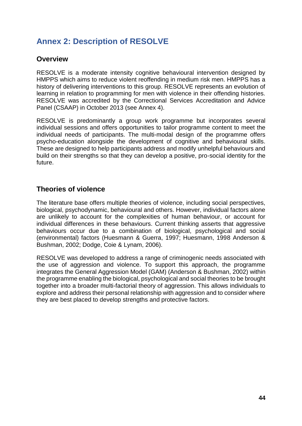# <span id="page-43-0"></span>**Annex 2: Description of RESOLVE**

# **Overview**

RESOLVE is a moderate intensity cognitive behavioural intervention designed by HMPPS which aims to reduce violent reoffending in medium risk men. HMPPS has a history of delivering interventions to this group. RESOLVE represents an evolution of learning in relation to programming for men with violence in their offending histories. RESOLVE was accredited by the Correctional Services Accreditation and Advice Panel (CSAAP) in October 2013 (see Annex 4).

RESOLVE is predominantly a group work programme but incorporates several individual sessions and offers opportunities to tailor programme content to meet the individual needs of participants. The multi-modal design of the programme offers psycho-education alongside the development of cognitive and behavioural skills. These are designed to help participants address and modify unhelpful behaviours and build on their strengths so that they can develop a positive, pro-social identity for the future.

# **Theories of violence**

The literature base offers multiple theories of violence, including social perspectives, biological, psychodynamic, behavioural and others. However, individual factors alone are unlikely to account for the complexities of human behaviour, or account for individual differences in these behaviours. Current thinking asserts that aggressive behaviours occur due to a combination of biological, psychological and social (environmental) factors (Huesmann & Guerra, 1997; Huesmann, 1998 Anderson & Bushman, 2002; Dodge, Coie & Lynam, 2006).

RESOLVE was developed to address a range of criminogenic needs associated with the use of aggression and violence. To support this approach, the programme integrates the General Aggression Model (GAM) (Anderson & Bushman, 2002) within the programme enabling the biological, psychological and social theories to be brought together into a broader multi-factorial theory of aggression. This allows individuals to explore and address their personal relationship with aggression and to consider where they are best placed to develop strengths and protective factors.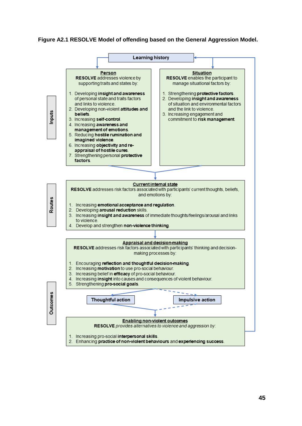#### **Figure A2.1 RESOLVE Model of offending based on the General Aggression Model.**

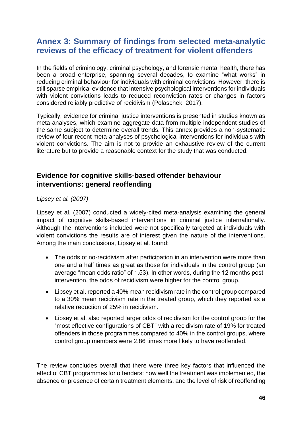# <span id="page-45-0"></span>**Annex 3: Summary of findings from selected meta-analytic reviews of the efficacy of treatment for violent offenders**

In the fields of criminology, criminal psychology, and forensic mental health, there has been a broad enterprise, spanning several decades, to examine "what works" in reducing criminal behaviour for individuals with criminal convictions. However, there is still sparse empirical evidence that intensive psychological interventions for individuals with violent convictions leads to reduced reconviction rates or changes in factors considered reliably predictive of recidivism (Polaschek, 2017).

Typically, evidence for criminal justice interventions is presented in studies known as meta-analyses, which examine aggregate data from multiple independent studies of the same subject to determine overall trends. This annex provides a non-systematic review of four recent meta-analyses of psychological interventions for individuals with violent convictions. The aim is not to provide an exhaustive review of the current literature but to provide a reasonable context for the study that was conducted.

# **Evidence for cognitive skills-based offender behaviour interventions: general reoffending**

*Lipsey et al. (2007)*

Lipsey et al. (2007) conducted a widely-cited meta-analysis examining the general impact of cognitive skills-based interventions in criminal justice internationally. Although the interventions included were not specifically targeted at individuals with violent convictions the results are of interest given the nature of the interventions. Among the main conclusions, Lipsey et al. found:

- The odds of no-recidivism after participation in an intervention were more than one and a half times as great as those for individuals in the control group (an average "mean odds ratio" of 1.53). In other words, during the 12 months postintervention, the odds of recidivism were higher for the control group.
- Lipsey et al. reported a 40% mean recidivism rate in the control group compared to a 30% mean recidivism rate in the treated group, which they reported as a relative reduction of 25% in recidivism.
- Lipsey et al. also reported larger odds of recidivism for the control group for the "most effective configurations of CBT" with a recidivism rate of 19% for treated offenders in those programmes compared to 40% in the control groups, where control group members were 2.86 times more likely to have reoffended.

The review concludes overall that there were three key factors that influenced the effect of CBT programmes for offenders: how well the treatment was implemented, the absence or presence of certain treatment elements, and the level of risk of reoffending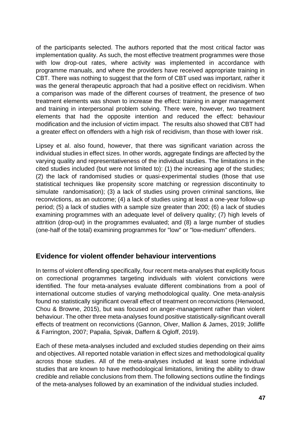of the participants selected. The authors reported that the most critical factor was implementation quality. As such, the most effective treatment programmes were those with low drop-out rates, where activity was implemented in accordance with programme manuals, and where the providers have received appropriate training in CBT. There was nothing to suggest that the form of CBT used was important, rather it was the general therapeutic approach that had a positive effect on recidivism. When a comparison was made of the different courses of treatment, the presence of two treatment elements was shown to increase the effect: training in anger management and training in interpersonal problem solving. There were, however, two treatment elements that had the opposite intention and reduced the effect: behaviour modification and the inclusion of victim impact. The results also showed that CBT had a greater effect on offenders with a high risk of recidivism, than those with lower risk.

Lipsey et al. also found, however, that there was significant variation across the individual studies in effect sizes. In other words, aggregate findings are affected by the varying quality and representativeness of the individual studies. The limitations in the cited studies included (but were not limited to): (1) the increasing age of the studies; (2) the lack of randomised studies or quasi-experimental studies (those that use statistical techniques like propensity score matching or regression discontinuity to simulate randomisation); (3) a lack of studies using proven criminal sanctions, like reconvictions, as an outcome; (4) a lack of studies using at least a one-year follow-up period; (5) a lack of studies with a sample size greater than 200; (6) a lack of studies examining programmes with an adequate level of delivery quality; (7) high levels of attrition (drop-out) in the programmes evaluated; and (8) a large number of studies (one-half of the total) examining programmes for "low" or "low-medium" offenders.

# **Evidence for violent offender behaviour interventions**

In terms of violent offending specifically, four recent meta-analyses that explicitly focus on correctional programmes targeting individuals with violent convictions were identified. The four meta-analyses evaluate different combinations from a pool of international outcome studies of varying methodological quality. One meta-analysis found no statistically significant overall effect of treatment on reconvictions (Henwood, Chou & Browne, 2015), but was focused on anger-management rather than violent behaviour. The other three meta-analyses found positive statistically-significant overall effects of treatment on reconvictions (Gannon, Olver, Mallion & James, 2019; Jolliffe & Farrington, 2007; Papalia, Spivak, Daffern & Ogloff, 2019).

Each of these meta-analyses included and excluded studies depending on their aims and objectives. All reported notable variation in effect sizes and methodological quality across those studies. All of the meta-analyses included at least some individual studies that are known to have methodological limitations, limiting the ability to draw credible and reliable conclusions from them. The following sections outline the findings of the meta-analyses followed by an examination of the individual studies included.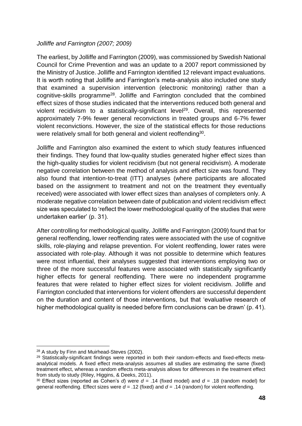#### *Jolliffe and Farrington (2007; 2009)*

The earliest, by Jolliffe and Farrington (2009), was commissioned by Swedish National Council for Crime Prevention and was an update to a 2007 report commissioned by the Ministry of Justice. Jolliffe and Farrington identified 12 relevant impact evaluations. It is worth noting that Jolliffe and Farrington's meta-analysis also included one study that examined a supervision intervention (electronic monitoring) rather than a cognitive-skills programme<sup>28</sup>. Jolliffe and Farrington concluded that the combined effect sizes of those studies indicated that the interventions reduced both general and violent recidivism to a statistically-significant level<sup>29</sup>. Overall, this represented approximately 7-9% fewer general reconvictions in treated groups and 6-7% fewer violent reconvictions. However, the size of the statistical effects for those reductions were relatively small for both general and violent reoffending $^{30}$ .

Jolliffe and Farrington also examined the extent to which study features influenced their findings. They found that low-quality studies generated higher effect sizes than the high-quality studies for violent recidivism (but not general recidivism). A moderate negative correlation between the method of analysis and effect size was found. They also found that intention-to-treat (ITT) analyses (where participants are allocated based on the assignment to treatment and not on the treatment they eventually received) were associated with lower effect sizes than analyses of completers only. A moderate negative correlation between date of publication and violent recidivism effect size was speculated to 'reflect the lower methodological quality of the studies that were undertaken earlier' (p. 31).

After controlling for methodological quality, Jolliffe and Farrington (2009) found that for general reoffending, lower reoffending rates were associated with the use of cognitive skills, role-playing and relapse prevention. For violent reoffending, lower rates were associated with role-play. Although it was not possible to determine which features were most influential, their analyses suggested that interventions employing two or three of the more successful features were associated with statistically significantly higher effects for general reoffending. There were no independent programme features that were related to higher effect sizes for violent recidivism. Jolliffe and Farrington concluded that interventions for violent offenders are successful dependent on the duration and content of those interventions, but that 'evaluative research of higher methodological quality is needed before firm conclusions can be drawn' (p. 41).

<sup>28</sup> A study by Finn and Muirhead-Steves (2002).

<sup>&</sup>lt;sup>29</sup> Statistically-significant findings were reported in both their random-effects and fixed-effects metaanalytical models. A fixed effect meta-analysis assumes all studies are estimating the same (fixed) treatment effect, whereas a random effects meta-analysis allows for differences in the treatment effect from study to study (Riley, Higgins, & Deeks, 2011).

<sup>30</sup> Effect sizes (reported as Cohen's *d*) were *d* = .14 (fixed model) and *d* = .18 (random model) for general reoffending. Effect sizes were *d* = .12 (fixed) and *d* = .14 (random) for violent reoffending.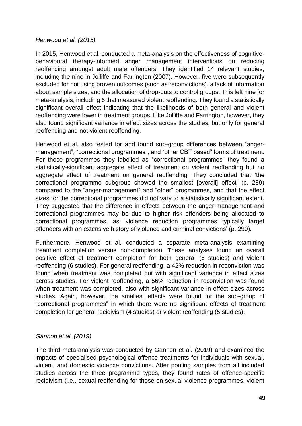#### *Henwood et al. (2015)*

In 2015, Henwood et al. conducted a meta-analysis on the effectiveness of cognitivebehavioural therapy-informed anger management interventions on reducing reoffending amongst adult male offenders. They identified 14 relevant studies, including the nine in Jolliffe and Farrington (2007). However, five were subsequently excluded for not using proven outcomes (such as reconvictions), a lack of information about sample sizes, and the allocation of drop-outs to control groups. This left nine for meta-analysis, including 6 that measured violent reoffending. They found a statistically significant overall effect indicating that the likelihoods of both general and violent reoffending were lower in treatment groups. Like Jolliffe and Farrington, however, they also found significant variance in effect sizes across the studies, but only for general reoffending and not violent reoffending.

Henwood et al. also tested for and found sub-group differences between "angermanagement", "correctional programmes", and "other CBT based" forms of treatment. For those programmes they labelled as "correctional programmes" they found a statistically-significant aggregate effect of treatment on violent reoffending but no aggregate effect of treatment on general reoffending. They concluded that 'the correctional programme subgroup showed the smallest [overall] effect' (p. 289) compared to the "anger-management" and "other" programmes, and that the effect sizes for the correctional programmes did not vary to a statistically significant extent. They suggested that the difference in effects between the anger-management and correctional programmes may be due to higher risk offenders being allocated to correctional programmes, as 'violence reduction programmes typically target offenders with an extensive history of violence and criminal convictions' (p. 290).

Furthermore, Henwood et al. conducted a separate meta-analysis examining treatment completion versus non-completion. These analyses found an overall positive effect of treatment completion for both general (6 studies) and violent reoffending (6 studies). For general reoffending, a 42% reduction in reconviction was found when treatment was completed but with significant variance in effect sizes across studies. For violent reoffending, a 56% reduction in reconviction was found when treatment was completed, also with significant variance in effect sizes across studies. Again, however, the smallest effects were found for the sub-group of "correctional programmes" in which there were no significant effects of treatment completion for general recidivism (4 studies) or violent reoffending (5 studies).

### *Gannon et al. (2019)*

The third meta-analysis was conducted by Gannon et al. (2019) and examined the impacts of specialised psychological offence treatments for individuals with sexual, violent, and domestic violence convictions. After pooling samples from all included studies across the three programme types, they found rates of offence-specific recidivism (i.e., sexual reoffending for those on sexual violence programmes, violent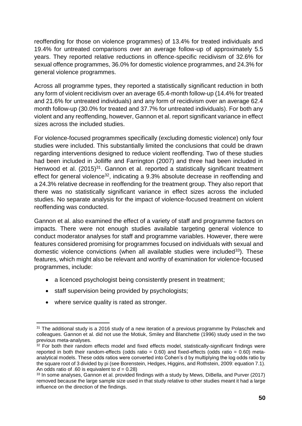reoffending for those on violence programmes) of 13.4% for treated individuals and 19.4% for untreated comparisons over an average follow-up of approximately 5.5 years. They reported relative reductions in offence-specific recidivism of 32.6% for sexual offence programmes, 36.0% for domestic violence programmes, and 24.3% for general violence programmes.

Across all programme types, they reported a statistically significant reduction in both any form of violent recidivism over an average 65.4-month follow-up (14.4% for treated and 21.6% for untreated individuals) and any form of recidivism over an average 62.4 month follow-up (30.0% for treated and 37.7% for untreated individuals). For both any violent and any reoffending, however, Gannon et al. report significant variance in effect sizes across the included studies.

For violence-focused programmes specifically (excluding domestic violence) only four studies were included. This substantially limited the conclusions that could be drawn regarding interventions designed to reduce violent reoffending. Two of these studies had been included in Jolliffe and Farrington (2007) and three had been included in Henwood et al.  $(2015)^{31}$ . Gannon et al. reported a statistically significant treatment effect for general violence<sup>32</sup>, indicating a 9.3% absolute decrease in reoffending and a 24.3% relative decrease in reoffending for the treatment group. They also report that there was no statistically significant variance in effect sizes across the included studies. No separate analysis for the impact of violence-focused treatment on violent reoffending was conducted.

Gannon et al. also examined the effect of a variety of staff and programme factors on impacts. There were not enough studies available targeting general violence to conduct moderator analyses for staff and programme variables. However, there were features considered promising for programmes focused on individuals with sexual and domestic violence convictions (when all available studies were included $33$ ). These features, which might also be relevant and worthy of examination for violence-focused programmes, include:

- a licenced psychologist being consistently present in treatment:
- staff supervision being provided by psychologists;
- where service quality is rated as stronger.

<sup>&</sup>lt;sup>31</sup> The additional study is a 2016 study of a new iteration of a previous programme by Polaschek and colleagues. Gannon et al. did not use the Motiuk, Smiley and Blanchette (1996) study used in the two previous meta-analyses.

 $32$  For both their random effects model and fixed effects model, statistically-significant findings were reported in both their random-effects (odds ratio  $= 0.60$ ) and fixed-effects (odds ratio  $= 0.60$ ) metaanalytical models. These odds ratios were converted into Cohen's d by multiplying the log odds ratio by the square root of 3 divided by pi (see Borenstein, Hedges, Higgins, and Rothstein, 2009: equation 7.1). An odds ratio of .60 is equivalent to  $d = 0.28$ )

<sup>&</sup>lt;sup>33</sup> In some analyses, Gannon et al. provided findings with a study by Mews, DiBella, and Purver (2017) removed because the large sample size used in that study relative to other studies meant it had a large influence on the direction of the findings.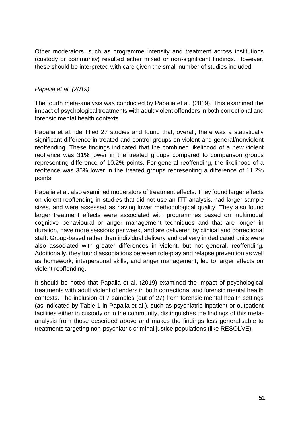Other moderators, such as programme intensity and treatment across institutions (custody or community) resulted either mixed or non-significant findings. However, these should be interpreted with care given the small number of studies included.

#### *Papalia et al. (2019)*

The fourth meta-analysis was conducted by Papalia et al. (2019). This examined the impact of psychological treatments with adult violent offenders in both correctional and forensic mental health contexts.

Papalia et al. identified 27 studies and found that, overall, there was a statistically significant difference in treated and control groups on violent and general/nonviolent reoffending. These findings indicated that the combined likelihood of a new violent reoffence was 31% lower in the treated groups compared to comparison groups representing difference of 10.2% points. For general reoffending, the likelihood of a reoffence was 35% lower in the treated groups representing a difference of 11.2% points.

Papalia et al. also examined moderators of treatment effects. They found larger effects on violent reoffending in studies that did not use an ITT analysis, had larger sample sizes, and were assessed as having lower methodological quality. They also found larger treatment effects were associated with programmes based on multimodal cognitive behavioural or anger management techniques and that are longer in duration, have more sessions per week, and are delivered by clinical and correctional staff. Group-based rather than individual delivery and delivery in dedicated units were also associated with greater differences in violent, but not general, reoffending. Additionally, they found associations between role-play and relapse prevention as well as homework, interpersonal skills, and anger management, led to larger effects on violent reoffending.

It should be noted that Papalia et al. (2019) examined the impact of psychological treatments with adult violent offenders in both correctional and forensic mental health contexts. The inclusion of 7 samples (out of 27) from forensic mental health settings (as indicated by Table 1 in Papalia et al.), such as psychiatric inpatient or outpatient facilities either in custody or in the community, distinguishes the findings of this metaanalysis from those described above and makes the findings less generalisable to treatments targeting non-psychiatric criminal justice populations (like RESOLVE).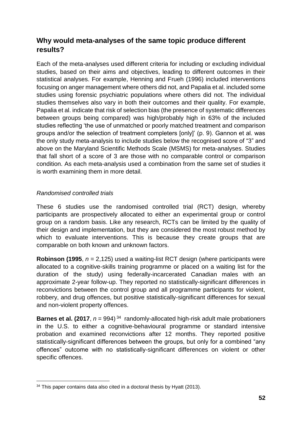# **Why would meta-analyses of the same topic produce different results?**

Each of the meta-analyses used different criteria for including or excluding individual studies, based on their aims and objectives, leading to different outcomes in their statistical analyses. For example, Henning and Frueh (1996) included interventions focusing on anger management where others did not, and Papalia et al. included some studies using forensic psychiatric populations where others did not. The individual studies themselves also vary in both their outcomes and their quality. For example, Papalia et al. indicate that risk of selection bias (the presence of systematic differences between groups being compared) was high/probably high in 63% of the included studies reflecting 'the use of unmatched or poorly matched treatment and comparison groups and/or the selection of treatment completers [only]' (p. 9). Gannon et al. was the only study meta-analysis to include studies below the recognised score of "3" and above on the Maryland Scientific Methods Scale (MSMS) for meta-analyses. Studies that fall short of a score of 3 are those with no comparable control or comparison condition. As each meta-analysis used a combination from the same set of studies it is worth examining them in more detail.

### *Randomised controlled trials*

These 6 studies use the randomised controlled trial (RCT) design, whereby participants are prospectively allocated to either an experimental group or control group on a random basis. Like any research, RCTs can be limited by the quality of their design and implementation, but they are considered the most robust method by which to evaluate interventions. This is because they create groups that are comparable on both known and unknown factors.

**Robinson (1995**, *n* = 2,125) used a waiting-list RCT design (where participants were allocated to a cognitive-skills training programme or placed on a waiting list for the duration of the study) using federally-incarcerated Canadian males with an approximate 2-year follow-up. They reported no statistically-significant differences in reconvictions between the control group and all programme participants for violent, robbery, and drug offences, but positive statistically-significant differences for sexual and non-violent property offences.

**Barnes et al. (2017**,  $n = 994$ )<sup>34</sup> randomly-allocated high-risk adult male probationers in the U.S. to either a cognitive-behavioural programme or standard intensive probation and examined reconvictions after 12 months. They reported positive statistically-significant differences between the groups, but only for a combined "any offences" outcome with no statistically-significant differences on violent or other specific offences.

<sup>&</sup>lt;sup>34</sup> This paper contains data also cited in a doctoral thesis by Hyatt (2013).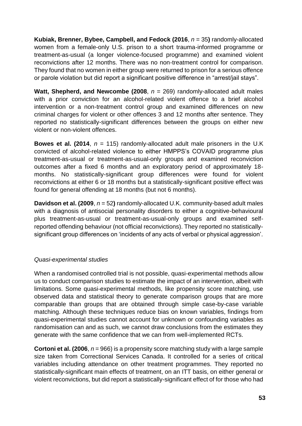**Kubiak, Brenner, Bybee, Campbell, and Fedock (2016**, *n* = 35**)** randomly-allocated women from a female-only U.S. prison to a short trauma-informed programme or treatment-as-usual (a longer violence-focused programme) and examined violent reconvictions after 12 months. There was no non-treatment control for comparison. They found that no women in either group were returned to prison for a serious offence or parole violation but did report a significant positive difference in "arrest/jail stays".

**Watt, Shepherd, and Newcombe (2008**, *n* = 269) randomly-allocated adult males with a prior conviction for an alcohol-related violent offence to a brief alcohol intervention or a non-treatment control group and examined differences on new criminal charges for violent or other offences 3 and 12 months after sentence. They reported no statistically-significant differences between the groups on either new violent or non-violent offences.

**Bowes et al. (2014**, *n* = 115) randomly-allocated adult male prisoners in the U.K convicted of alcohol-related violence to either HMPPS's COVAID programme plus treatment-as-usual or treatment-as-usual-only groups and examined reconviction outcomes after a fixed 6 months and an exploratory period of approximately 18 months. No statistically-significant group differences were found for violent reconvictions at either 6 or 18 months but a statistically-significant positive effect was found for general offending at 18 months (but not 6 months).

**Davidson et al. (2009**, *n* = 52**)** randomly-allocated U.K. community-based adult males with a diagnosis of antisocial personality disorders to either a cognitive-behavioural plus treatment-as-usual or treatment-as-usual-only groups and examined selfreported offending behaviour (not official reconvictions). They reported no statisticallysignificant group differences on 'incidents of any acts of verbal or physical aggression'.

### *Quasi-experimental studies*

When a randomised controlled trial is not possible, quasi-experimental methods allow us to conduct comparison studies to estimate the impact of an intervention, albeit with limitations. Some quasi-experimental methods, like propensity score matching, use observed data and statistical theory to generate comparison groups that are more comparable than groups that are obtained through simple case-by-case variable matching. Although these techniques reduce bias on known variables, findings from quasi-experimental studies cannot account for unknown or confounding variables as randomisation can and as such, we cannot draw conclusions from the estimates they generate with the same confidence that we can from well-implemented RCTs.

**Cortoni et al. (2006**, *n* = 966) is a propensity score matching study with a large sample size taken from Correctional Services Canada. It controlled for a series of critical variables including attendance on other treatment programmes. They reported no statistically-significant main effects of treatment, on an ITT basis, on either general or violent reconvictions, but did report a statistically-significant effect of for those who had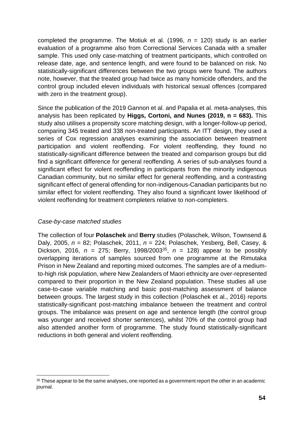completed the programme. The Motiuk et al. (1996,  $n = 120$ ) study is an earlier evaluation of a programme also from Correctional Services Canada with a smaller sample. This used only case-matching of treatment participants, which controlled on release date, age, and sentence length, and were found to be balanced on risk. No statistically-significant differences between the two groups were found. The authors note, however, that the treated group had twice as many homicide offenders, and the control group included eleven individuals with historical sexual offences (compared with zero in the treatment group).

Since the publication of the 2019 Gannon et al. and Papalia et al. meta-analyses, this analysis has been replicated by **Higgs, Cortoni, and Nunes (2019, n = 683).** This study also utilises a propensity score matching design, with a longer-follow-up period, comparing 345 treated and 338 non-treated participants. An ITT design, they used a series of Cox regression analyses examining the association between treatment participation and violent reoffending. For violent reoffending, they found no statistically-significant difference between the treated and comparison groups but did find a significant difference for general reoffending. A series of sub-analyses found a significant effect for violent reoffending in participants from the minority indigenous Canadian community, but no similar effect for general reoffending, and a contrasting significant effect of general offending for non-indigenous-Canadian participants but no similar effect for violent reoffending. They also found a significant lower likelihood of violent reoffending for treatment completers relative to non-completers.

### *Case-by-case matched studies*

The collection of four **Polaschek** and **Berry** studies (Polaschek, Wilson, Townsend & Daly, 2005, *n* = 82; Polaschek, 2011, *n* = 224; Polaschek, Yesberg, Bell, Casey, & Dickson, 2016,  $n = 275$ ; Berry, 1998/2003<sup>35</sup>,  $n = 128$ ) appear to be possibly overlapping iterations of samples sourced from one programme at the Rimutaka Prison in New Zealand and reporting mixed outcomes. The samples are of a mediumto-high risk population, where New Zealanders of Maori ethnicity are over-represented compared to their proportion in the New Zealand population. These studies all use case-to-case variable matching and basic post-matching assessment of balance between groups. The largest study in this collection (Polaschek et al., 2016) reports statistically-significant post-matching imbalance between the treatment and control groups. The imbalance was present on age and sentence length (the control group was younger and received shorter sentences), whilst 70% of the control group had also attended another form of programme. The study found statistically-significant reductions in both general and violent reoffending.

<sup>&</sup>lt;sup>35</sup> These appear to be the same analyses, one reported as a government report the other in an academic journal.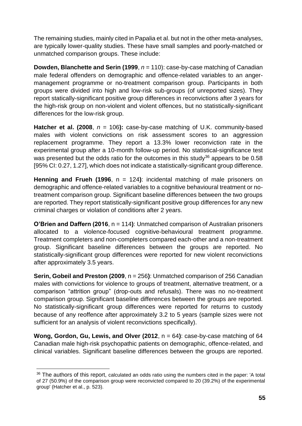The remaining studies, mainly cited in Papalia et al. but not in the other meta-analyses, are typically lower-quality studies. These have small samples and poorly-matched or unmatched comparison groups. These include:

**Dowden, Blanchette and Serin (1999**, *n* = 110): case-by-case matching of Canadian male federal offenders on demographic and offence-related variables to an angermanagement programme or no-treatment comparison group. Participants in both groups were divided into high and low-risk sub-groups (of unreported sizes). They report statically-significant positive group differences in reconvictions after 3 years for the high-risk group on non-violent and violent offences, but no statistically-significant differences for the low-risk group.

**Hatcher et al. (2008,**  $n = 106$ **):** case-by-case matching of U.K. community-based males with violent convictions on risk assessment scores to an aggression replacement programme. They report a 13.3% lower reconviction rate in the experimental group after a 10-month follow-up period. No statistical-significance test was presented but the odds ratio for the outcomes in this study<sup>36</sup> appears to be 0.58 [95% CI: 0.27, 1.27], which does not indicate a statistically-significant group difference.

**Henning and Frueh (1996,**  $n = 124$ **): incidental matching of male prisoners on** demographic and offence-related variables to a cognitive behavioural treatment or notreatment comparison group. Significant baseline differences between the two groups are reported. They report statistically-significant positive group differences for any new criminal charges or violation of conditions after 2 years.

**O'Brien and Daffern (2016**, n = 114**)**: Unmatched comparison of Australian prisoners allocated to a violence-focused cognitive-behavioural treatment programme. Treatment completers and non-completers compared each-other and a non-treatment group. Significant baseline differences between the groups are reported. No statistically-significant group differences were reported for new violent reconvictions after approximately 3.5 years.

**Serin, Gobeil and Preston (2009**, n = 256**)**: Unmatched comparison of 256 Canadian males with convictions for violence to groups of treatment, alternative treatment, or a comparison "attrition group" (drop-outs and refusals). There was no no-treatment comparison group. Significant baseline differences between the groups are reported. No statistically-significant group differences were reported for returns to custody because of any reoffence after approximately 3.2 to 5 years (sample sizes were not sufficient for an analysis of violent reconvictions specifically).

**Wong, Gordon, Gu, Lewis, and Olver (2012**, n = 64**)**: case-by-case matching of 64 Canadian male high-risk psychopathic patients on demographic, offence-related, and clinical variables. Significant baseline differences between the groups are reported.

<sup>&</sup>lt;sup>36</sup> The authors of this report, calculated an odds ratio using the numbers cited in the paper: 'A total of 27 (50.9%) of the comparison group were reconvicted compared to 20 (39.2%) of the experimental group' (Hatcher et al., p. 523).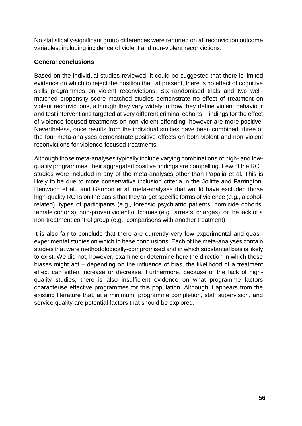No statistically-significant group differences were reported on all reconviction outcome variables, including incidence of violent and non-violent reconvictions.

#### **General conclusions**

Based on the individual studies reviewed, it could be suggested that there is limited evidence on which to reject the position that, at present, there is no effect of cognitive skills programmes on violent reconvictions. Six randomised trials and two wellmatched propensity score matched studies demonstrate no effect of treatment on violent reconvictions, although they vary widely in how they define violent behaviour and test interventions targeted at very different criminal cohorts. Findings for the effect of violence-focused treatments on non-violent offending, however are more positive. Nevertheless, once results from the individual studies have been combined, three of the four meta-analyses demonstrate positive effects on both violent and non-violent reconvictions for violence-focused treatments.

Although those meta-analyses typically include varying combinations of high- and lowquality programmes, their aggregated positive findings are compelling. Few of the RCT studies were included in any of the meta-analyses other than Papalia et al. This is likely to be due to more conservative inclusion criteria in the Jolliffe and Farrington, Henwood et al., and Gannon et al. meta-analyses that would have excluded those high-quality RCTs on the basis that they target specific forms of violence (e.g., alcoholrelated), types of participants (e.g., forensic psychiatric patients, homicide cohorts, female cohorts), non-proven violent outcomes (e.g., arrests, charges), or the lack of a non-treatment control group (e.g., comparisons with another treatment).

It is also fair to conclude that there are currently very few experimental and quasiexperimental studies on which to base conclusions. Each of the meta-analyses contain studies that were methodologically-compromised and in which substantial bias is likely to exist. We did not, however, examine or determine here the direction in which those biases might act – depending on the influence of bias, the likelihood of a treatment effect can either increase or decrease. Furthermore, because of the lack of highquality studies, there is also insufficient evidence on what programme factors characterise effective programmes for this population. Although it appears from the existing literature that, at a minimum, programme completion, staff supervision, and service quality are potential factors that should be explored.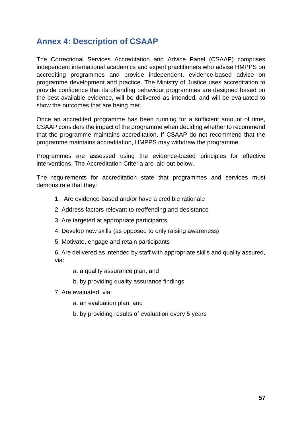# <span id="page-56-0"></span>**Annex 4: Description of CSAAP**

The Correctional Services Accreditation and Advice Panel (CSAAP) comprises independent international academics and expert practitioners who advise HMPPS on accrediting programmes and provide independent, evidence-based advice on programme development and practice. The Ministry of Justice uses accreditation to provide confidence that its offending behaviour programmes are designed based on the best available evidence, will be delivered as intended, and will be evaluated to show the outcomes that are being met.

Once an accredited programme has been running for a sufficient amount of time, CSAAP considers the impact of the programme when deciding whether to recommend that the programme maintains accreditation. If CSAAP do not recommend that the programme maintains accreditation, HMPPS may withdraw the programme.

Programmes are assessed using the evidence-based principles for effective interventions. The Accreditation Criteria are laid out below.

The requirements for accreditation state that programmes and services must demonstrate that they:

- 1. Are evidence-based and/or have a credible rationale
- 2. Address factors relevant to reoffending and desistance
- 3. Are targeted at appropriate participants
- 4. Develop new skills (as opposed to only raising awareness)
- 5. Motivate, engage and retain participants

6. Are delivered as intended by staff with appropriate skills and quality assured, via:

- a. a quality assurance plan, and
- b. by providing quality assurance findings
- 7. Are evaluated, via:
	- a. an evaluation plan, and
	- b. by providing results of evaluation every 5 years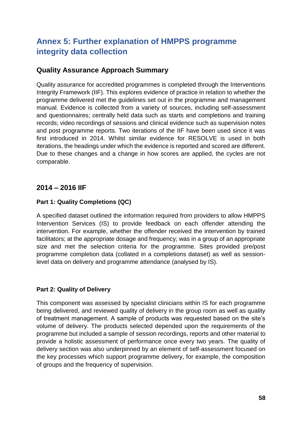# <span id="page-57-0"></span>**Annex 5: Further explanation of HMPPS programme integrity data collection**

# **Quality Assurance Approach Summary**

Quality assurance for accredited programmes is completed through the Interventions Integrity Framework (IIF). This explores evidence of practice in relation to whether the programme delivered met the guidelines set out in the programme and management manual. Evidence is collected from a variety of sources, including self-assessment and questionnaires; centrally held data such as starts and completions and training records; video recordings of sessions and clinical evidence such as supervision notes and post programme reports. Two iterations of the IIF have been used since it was first introduced in 2014. Whilst similar evidence for RESOLVE is used in both iterations, the headings under which the evidence is reported and scored are different. Due to these changes and a change in how scores are applied, the cycles are not comparable.

# **2014 – 2016 IIF**

# **Part 1: Quality Completions (QC)**

A specified dataset outlined the information required from providers to allow HMPPS Intervention Services (IS) to provide feedback on each offender attending the intervention. For example, whether the offender received the intervention by trained facilitators; at the appropriate dosage and frequency; was in a group of an appropriate size and met the selection criteria for the programme. Sites provided pre/post programme completion data (collated in a completions dataset) as well as sessionlevel data on delivery and programme attendance (analysed by IS).

# **Part 2: Quality of Delivery**

This component was assessed by specialist clinicians within IS for each programme being delivered, and reviewed quality of delivery in the group room as well as quality of treatment management. A sample of products was requested based on the site's volume of delivery. The products selected depended upon the requirements of the programme but included a sample of session recordings, reports and other material to provide a holistic assessment of performance once every two years. The quality of delivery section was also underpinned by an element of self-assessment focused on the key processes which support programme delivery, for example, the composition of groups and the frequency of supervision.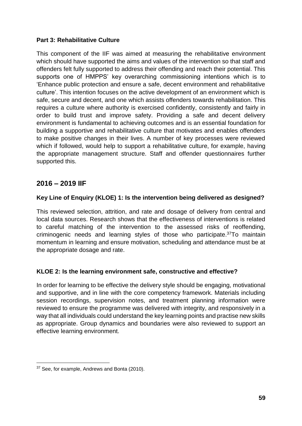### **Part 3: Rehabilitative Culture**

This component of the IIF was aimed at measuring the rehabilitative environment which should have supported the aims and values of the intervention so that staff and offenders felt fully supported to address their offending and reach their potential. This supports one of HMPPS' key overarching commissioning intentions which is to 'Enhance public protection and ensure a safe, decent environment and rehabilitative culture'. This intention focuses on the active development of an environment which is safe, secure and decent, and one which assists offenders towards rehabilitation. This requires a culture where authority is exercised confidently, consistently and fairly in order to build trust and improve safety. Providing a safe and decent delivery environment is fundamental to achieving outcomes and is an essential foundation for building a supportive and rehabilitative culture that motivates and enables offenders to make positive changes in their lives. A number of key processes were reviewed which if followed, would help to support a rehabilitative culture, for example, having the appropriate management structure. Staff and offender questionnaires further supported this.

# **2016 – 2019 IIF**

### **Key Line of Enquiry (KLOE) 1: Is the intervention being delivered as designed?**

This reviewed selection, attrition, and rate and dosage of delivery from central and local data sources. Research shows that the effectiveness of interventions is related to careful matching of the intervention to the assessed risks of reoffending, criminogenic needs and learning styles of those who participate.<sup>37</sup>To maintain momentum in learning and ensure motivation, scheduling and attendance must be at the appropriate dosage and rate.

### **KLOE 2: Is the learning environment safe, constructive and effective?**

In order for learning to be effective the delivery style should be engaging, motivational and supportive, and in line with the core competency framework. Materials including session recordings, supervision notes, and treatment planning information were reviewed to ensure the programme was delivered with integrity, and responsively in a way that all individuals could understand the key learning points and practise new skills as appropriate. Group dynamics and boundaries were also reviewed to support an effective learning environment.

<sup>&</sup>lt;sup>37</sup> See, for example, Andrews and Bonta (2010).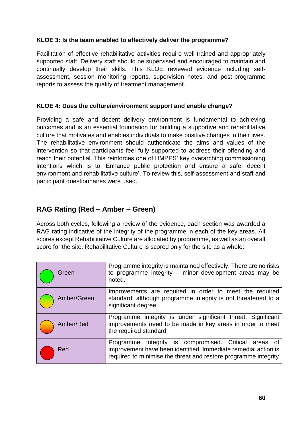### **KLOE 3: Is the team enabled to effectively deliver the programme?**

Facilitation of effective rehabilitative activities require well-trained and appropriately supported staff. Delivery staff should be supervised and encouraged to maintain and continually develop their skills. This KLOE reviewed evidence including selfassessment, session monitoring reports, supervision notes, and post-programme reports to assess the quality of treatment management.

### **KLOE 4: Does the culture/environment support and enable change?**

Providing a safe and decent delivery environment is fundamental to achieving outcomes and is an essential foundation for building a supportive and rehabilitative culture that motivates and enables individuals to make positive changes in their lives. The rehabilitative environment should authenticate the aims and values of the intervention so that participants feel fully supported to address their offending and reach their potential. This reinforces one of HMPPS' key overarching commissioning intentions which is to 'Enhance public protection and ensure a safe, decent environment and rehabilitative culture'. To review this, self-assessment and staff and participant questionnaires were used.

# **RAG Rating (Red – Amber – Green)**

Across both cycles, following a review of the evidence, each section was awarded a RAG rating indicative of the integrity of the programme in each of the key areas. All scores except Rehabilitative Culture are allocated by programme, as well as an overall score for the site. Rehabilitative Culture is scored only for the site as a whole:

| Green       | Programme integrity is maintained effectively. There are no risks<br>to programme integrity - minor development areas may be<br>noted.                                                     |
|-------------|--------------------------------------------------------------------------------------------------------------------------------------------------------------------------------------------|
| Amber/Green | Improvements are required in order to meet the required<br>standard, although programme integrity is not threatened to a<br>significant degree.                                            |
| Amber/Red   | Programme integrity is under significant threat. Significant<br>improvements need to be made in key areas in order to meet<br>the required standard.                                       |
| Red         | Programme integrity is compromised. Critical areas of<br>improvement have been identified. Immediate remedial action is<br>required to minimise the threat and restore programme integrity |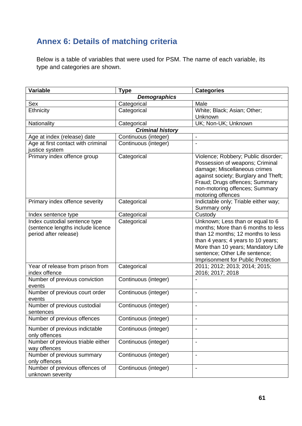# <span id="page-60-0"></span>**Annex 6: Details of matching criteria**

Below is a table of variables that were used for PSM. The name of each variable, its type and categories are shown.

| <b>Variable</b>                                                                             | <b>Type</b>             | <b>Categories</b>                                                                                                                                                                                                                                               |  |  |  |
|---------------------------------------------------------------------------------------------|-------------------------|-----------------------------------------------------------------------------------------------------------------------------------------------------------------------------------------------------------------------------------------------------------------|--|--|--|
| <b>Demographics</b>                                                                         |                         |                                                                                                                                                                                                                                                                 |  |  |  |
| Sex                                                                                         | Categorical             | Male                                                                                                                                                                                                                                                            |  |  |  |
| Ethnicity                                                                                   | Categorical             | White; Black; Asian; Other;                                                                                                                                                                                                                                     |  |  |  |
|                                                                                             |                         | Unknown                                                                                                                                                                                                                                                         |  |  |  |
| Nationality                                                                                 | Categorical             | UK; Non-UK; Unknown                                                                                                                                                                                                                                             |  |  |  |
|                                                                                             | <b>Criminal history</b> |                                                                                                                                                                                                                                                                 |  |  |  |
| Age at index (release) date                                                                 | Continuous (integer)    | $\overline{\phantom{a}}$                                                                                                                                                                                                                                        |  |  |  |
| Age at first contact with criminal<br>justice system                                        | Continuous (integer)    |                                                                                                                                                                                                                                                                 |  |  |  |
| Primary index offence group                                                                 | Categorical             | Violence; Robbery; Public disorder;<br>Possession of weapons; Criminal<br>damage; Miscellaneous crimes<br>against society; Burglary and Theft;<br>Fraud; Drugs offences; Summary<br>non-motoring offences; Summary<br>motoring offences                         |  |  |  |
| Primary index offence severity                                                              | Categorical             | Indictable only; Triable either way;<br>Summary only                                                                                                                                                                                                            |  |  |  |
| Index sentence type                                                                         | Categorical             | Custody                                                                                                                                                                                                                                                         |  |  |  |
| Index custodial sentence type<br>(sentence lengths include licence<br>period after release) | Categorical             | Unknown; Less than or equal to 6<br>months; More than 6 months to less<br>than 12 months; 12 months to less<br>than 4 years; 4 years to 10 years;<br>More than 10 years; Mandatory Life<br>sentence; Other Life sentence;<br>Imprisonment for Public Protection |  |  |  |
| Year of release from prison from<br>index offence                                           | Categorical             | 2011; 2012; 2013; 2014; 2015;<br>2016; 2017; 2018                                                                                                                                                                                                               |  |  |  |
| Number of previous conviction<br>events                                                     | Continuous (integer)    |                                                                                                                                                                                                                                                                 |  |  |  |
| Number of previous court order<br>events                                                    | Continuous (integer)    | $\overline{a}$                                                                                                                                                                                                                                                  |  |  |  |
| Number of previous custodial<br>sentences                                                   | Continuous (integer)    | $\overline{\phantom{a}}$                                                                                                                                                                                                                                        |  |  |  |
| Number of previous offences                                                                 | Continuous (integer)    |                                                                                                                                                                                                                                                                 |  |  |  |
| Number of previous indictable<br>only offences                                              | Continuous (integer)    | $\overline{a}$                                                                                                                                                                                                                                                  |  |  |  |
| Number of previous triable either<br>way offences                                           | Continuous (integer)    | $\blacksquare$                                                                                                                                                                                                                                                  |  |  |  |
| Number of previous summary<br>only offences                                                 | Continuous (integer)    | $\overline{\phantom{a}}$                                                                                                                                                                                                                                        |  |  |  |
| Number of previous offences of<br>unknown severity                                          | Continuous (integer)    |                                                                                                                                                                                                                                                                 |  |  |  |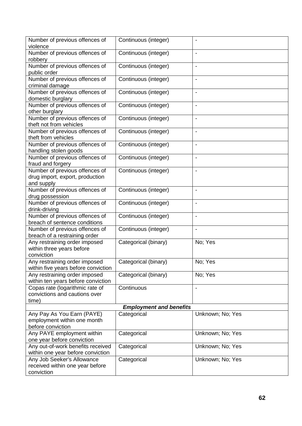| Number of previous offences of<br>violence                                      | Continuous (integer) |                          |  |  |
|---------------------------------------------------------------------------------|----------------------|--------------------------|--|--|
| Number of previous offences of<br>robbery                                       | Continuous (integer) | $\overline{\phantom{a}}$ |  |  |
| Number of previous offences of<br>public order                                  | Continuous (integer) | $\overline{a}$           |  |  |
| Number of previous offences of<br>criminal damage                               | Continuous (integer) | $\blacksquare$           |  |  |
| Number of previous offences of<br>domestic burglary                             | Continuous (integer) | $\blacksquare$           |  |  |
| Number of previous offences of<br>other burglary                                | Continuous (integer) | $\overline{\phantom{a}}$ |  |  |
| Number of previous offences of<br>theft not from vehicles                       | Continuous (integer) | $\overline{\phantom{a}}$ |  |  |
| Number of previous offences of<br>theft from vehicles                           | Continuous (integer) | $\blacksquare$           |  |  |
| Number of previous offences of<br>handling stolen goods                         | Continuous (integer) | $\overline{\phantom{0}}$ |  |  |
| Number of previous offences of<br>fraud and forgery                             | Continuous (integer) | $\blacksquare$           |  |  |
| Number of previous offences of<br>drug import, export, production<br>and supply | Continuous (integer) | $\overline{\phantom{a}}$ |  |  |
| Number of previous offences of<br>drug possession                               | Continuous (integer) | $\blacksquare$           |  |  |
| Number of previous offences of<br>drink-driving                                 | Continuous (integer) | $\overline{\phantom{a}}$ |  |  |
| Number of previous offences of<br>breach of sentence conditions                 | Continuous (integer) | $\overline{\phantom{a}}$ |  |  |
| Number of previous offences of<br>breach of a restraining order                 | Continuous (integer) | $\blacksquare$           |  |  |
| Any restraining order imposed<br>within three years before<br>conviction        | Categorical (binary) | No; Yes                  |  |  |
| Any restraining order imposed<br>within five years before conviction            | Categorical (binary) | No; Yes                  |  |  |
| Any restraining order imposed<br>within ten years before conviction             | Categorical (binary) | No; Yes                  |  |  |
| Copas rate (logarithmic rate of<br>convictions and cautions over<br>time)       | Continuous           |                          |  |  |
| <b>Employment and benefits</b>                                                  |                      |                          |  |  |
| Any Pay As You Earn (PAYE)<br>employment within one month<br>before conviction  | Categorical          | Unknown; No; Yes         |  |  |
| Any PAYE employment within<br>one year before conviction                        | Categorical          | Unknown; No; Yes         |  |  |
| Any out-of-work benefits received<br>within one year before conviction          | Categorical          | Unknown; No; Yes         |  |  |
| Any Job Seeker's Allowance<br>received within one year before<br>conviction     | Categorical          | Unknown; No; Yes         |  |  |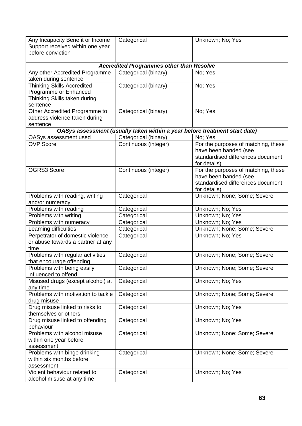| Any Incapacity Benefit or Income<br>Support received within one year<br>before conviction              | Categorical                                                                | Unknown; No; Yes                                                                                                  |
|--------------------------------------------------------------------------------------------------------|----------------------------------------------------------------------------|-------------------------------------------------------------------------------------------------------------------|
|                                                                                                        | <b>Accredited Programmes other than Resolve</b>                            |                                                                                                                   |
| Any other Accredited Programme<br>taken during sentence                                                | Categorical (binary)                                                       | No; Yes                                                                                                           |
| <b>Thinking Skills Accredited</b><br>Programme or Enhanced<br>Thinking Skills taken during<br>sentence | Categorical (binary)                                                       | No; Yes                                                                                                           |
| Other Accredited Programme to<br>address violence taken during<br>sentence                             | Categorical (binary)                                                       | No; Yes                                                                                                           |
|                                                                                                        | OASys assessment (usually taken within a year before treatment start date) |                                                                                                                   |
| OASys assessment used                                                                                  | Categorical (binary)                                                       | No; Yes                                                                                                           |
| <b>OVP Score</b>                                                                                       | Continuous (integer)                                                       | For the purposes of matching, these<br>have been banded (see<br>standardised differences document<br>for details) |
| <b>OGRS3 Score</b>                                                                                     | Continuous (integer)                                                       | For the purposes of matching, these<br>have been banded (see<br>standardised differences document<br>for details) |
| Problems with reading, writing<br>and/or numeracy                                                      | Categorical                                                                | Unknown; None; Some; Severe                                                                                       |
| Problems with reading                                                                                  | Categorical                                                                | Unknown; No; Yes                                                                                                  |
| Problems with writing                                                                                  | Categorical                                                                | Unknown; No; Yes                                                                                                  |
| Problems with numeracy                                                                                 | Categorical                                                                | Unknown; No; Yes                                                                                                  |
| Learning difficulties                                                                                  | Categorical                                                                | Unknown; None; Some; Severe                                                                                       |
| Perpetrator of domestic violence<br>or abuse towards a partner at any<br>time                          | Categorical                                                                | Unknown; No; Yes                                                                                                  |
| Problems with regular activities<br>that encourage offending                                           | Categorical                                                                | Unknown; None; Some; Severe                                                                                       |
| Problems with being easily<br>influenced to offend                                                     | Categorical                                                                | Unknown; None; Some; Severe                                                                                       |
| Misused drugs (except alcohol) at<br>any time                                                          | Categorical                                                                | Unknown; No; Yes                                                                                                  |
| Problems with motivation to tackle<br>drug misuse                                                      | Categorical                                                                | Unknown; None; Some; Severe                                                                                       |
| Drug misuse linked to risks to<br>themselves or others                                                 | Categorical                                                                | Unknown; No; Yes                                                                                                  |
| Drug misuse linked to offending<br>behaviour                                                           | Categorical                                                                | Unknown; No; Yes                                                                                                  |
| Problems with alcohol misuse<br>within one year before<br>assessment                                   | Categorical                                                                | Unknown; None; Some; Severe                                                                                       |
| Problems with binge drinking<br>within six months before<br>assessment                                 | Categorical                                                                | Unknown; None; Some; Severe                                                                                       |
| Violent behaviour related to<br>alcohol misuse at any time                                             | Categorical                                                                | Unknown; No; Yes                                                                                                  |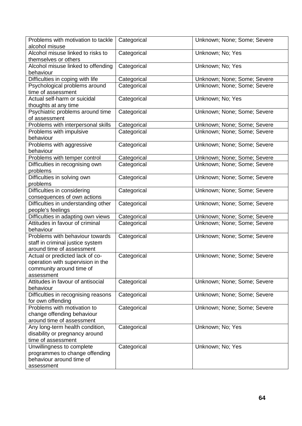| Problems with motivation to tackle<br>alcohol misuse                | Categorical | Unknown; None; Some; Severe |
|---------------------------------------------------------------------|-------------|-----------------------------|
| Alcohol misuse linked to risks to<br>themselves or others           | Categorical | Unknown; No; Yes            |
| Alcohol misuse linked to offending<br>behaviour                     | Categorical | Unknown; No; Yes            |
| Difficulties in coping with life                                    | Categorical | Unknown; None; Some; Severe |
| Psychological problems around                                       | Categorical | Unknown; None; Some; Severe |
| time of assessment                                                  |             |                             |
| Actual self-harm or suicidal<br>thoughts at any time                | Categorical | Unknown; No; Yes            |
| Psychiatric problems around time                                    | Categorical | Unknown; None; Some; Severe |
| of assessment                                                       |             |                             |
| Problems with interpersonal skills                                  | Categorical | Unknown; None; Some; Severe |
| Problems with impulsive                                             | Categorical | Unknown; None; Some; Severe |
| behaviour                                                           |             |                             |
| Problems with aggressive                                            | Categorical | Unknown; None; Some; Severe |
| behaviour                                                           |             |                             |
| Problems with temper control                                        | Categorical | Unknown; None; Some; Severe |
| Difficulties in recognising own                                     | Categorical | Unknown; None; Some; Severe |
| problems                                                            |             |                             |
| Difficulties in solving own<br>problems                             | Categorical | Unknown; None; Some; Severe |
| Difficulties in considering<br>consequences of own actions          | Categorical | Unknown; None; Some; Severe |
| Difficulties in understanding other<br>people's feelings            | Categorical | Unknown; None; Some; Severe |
| Difficulties in adapting own views                                  | Categorical | Unknown; None; Some; Severe |
| Attitudes in favour of criminal                                     | Categorical | Unknown; None; Some; Severe |
| behaviour                                                           |             |                             |
| Problems with behaviour towards<br>staff in criminal justice system | Categorical | Unknown; None; Some; Severe |
| around time of assessment                                           |             |                             |
| Actual or predicted lack of co-                                     | Categorical | Unknown; None; Some; Severe |
| operation with supervision in the                                   |             |                             |
| community around time of                                            |             |                             |
| assessment                                                          |             |                             |
| Attitudes in favour of antisocial                                   | Categorical | Unknown; None; Some; Severe |
| behaviour                                                           |             |                             |
| Difficulties in recognising reasons                                 | Categorical | Unknown; None; Some; Severe |
| for own offending                                                   |             |                             |
| Problems with motivation to                                         | Categorical | Unknown; None; Some; Severe |
| change offending behaviour                                          |             |                             |
| around time of assessment                                           |             |                             |
| Any long-term health condition,                                     | Categorical | Unknown; No; Yes            |
| disability or pregnancy around                                      |             |                             |
| time of assessment                                                  |             |                             |
| Unwillingness to complete                                           | Categorical | Unknown; No; Yes            |
| programmes to change offending                                      |             |                             |
| behaviour around time of                                            |             |                             |
| assessment                                                          |             |                             |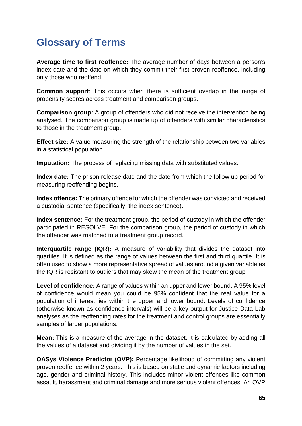# <span id="page-64-0"></span>**Glossary of Terms**

**Average time to first reoffence:** The average number of days between a person's index date and the date on which they commit their first proven reoffence, including only those who reoffend.

**Common support**: This occurs when there is sufficient overlap in the range of propensity scores across treatment and comparison groups.

**Comparison group:** A group of offenders who did not receive the intervention being analysed. The comparison group is made up of offenders with similar characteristics to those in the treatment group.

**Effect size:** A value measuring the strength of the relationship between two variables in a statistical population.

**Imputation:** The process of replacing missing data with substituted values.

**Index date:** The prison release date and the date from which the follow up period for measuring reoffending begins.

**Index offence:** The primary offence for which the offender was convicted and received a custodial sentence (specifically, the index sentence).

**Index sentence:** For the treatment group, the period of custody in which the offender participated in RESOLVE. For the comparison group, the period of custody in which the offender was matched to a treatment group record.

**Interquartile range (IQR):** A measure of variability that divides the dataset into quartiles. It is defined as the range of values between the first and third quartile. It is often used to show a more representative spread of values around a given variable as the IQR is resistant to outliers that may skew the mean of the treatment group.

**Level of confidence:** A range of values within an upper and lower bound. A 95% level of confidence would mean you could be 95% confident that the real value for a population of interest lies within the upper and lower bound. Levels of confidence (otherwise known as confidence intervals) will be a key output for Justice Data Lab analyses as the reoffending rates for the treatment and control groups are essentially samples of larger populations.

**Mean:** This is a measure of the average in the dataset. It is calculated by adding all the values of a dataset and dividing it by the number of values in the set.

**OASys Violence Predictor (OVP):** Percentage likelihood of committing any violent proven reoffence within 2 years. This is based on static and dynamic factors including age, gender and criminal history. This includes minor violent offences like common assault, harassment and criminal damage and more serious violent offences. An OVP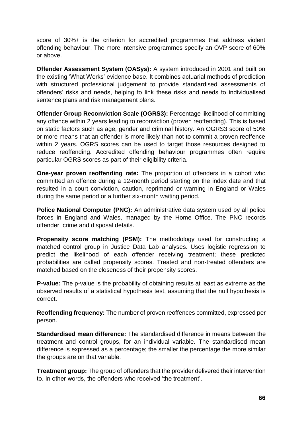score of 30%+ is the criterion for accredited programmes that address violent offending behaviour. The more intensive programmes specify an OVP score of 60% or above.

**Offender Assessment System (OASys):** A system introduced in 2001 and built on the existing 'What Works' evidence base. It combines actuarial methods of prediction with structured professional judgement to provide standardised assessments of offenders' risks and needs, helping to link these risks and needs to individualised sentence plans and risk management plans.

**Offender Group Reconviction Scale (OGRS3):** Percentage likelihood of committing any offence within 2 years leading to reconviction (proven reoffending). This is based on static factors such as age, gender and criminal history. An OGRS3 score of 50% or more means that an offender is more likely than not to commit a proven reoffence within 2 years. OGRS scores can be used to target those resources designed to reduce reoffending. Accredited offending behaviour programmes often require particular OGRS scores as part of their eligibility criteria.

**One-year proven reoffending rate:** The proportion of offenders in a cohort who committed an offence during a 12-month period starting on the index date and that resulted in a court conviction, caution, reprimand or warning in England or Wales during the same period or a further six-month waiting period.

**Police National Computer (PNC):** An administrative data system used by all police forces in England and Wales, managed by the Home Office. The PNC records offender, crime and disposal details.

**Propensity score matching (PSM):** The methodology used for constructing a matched control group in Justice Data Lab analyses. Uses logistic regression to predict the likelihood of each offender receiving treatment; these predicted probabilities are called propensity scores. Treated and non-treated offenders are matched based on the closeness of their propensity scores.

**P-value:** The p-value is the probability of obtaining results at least as extreme as the observed results of a statistical hypothesis test, assuming that the null hypothesis is correct.

**Reoffending frequency:** The number of proven reoffences committed, expressed per person.

**Standardised mean difference:** The standardised difference in means between the treatment and control groups, for an individual variable. The standardised mean difference is expressed as a percentage; the smaller the percentage the more similar the groups are on that variable.

**Treatment group:** The group of offenders that the provider delivered their intervention to. In other words, the offenders who received 'the treatment'.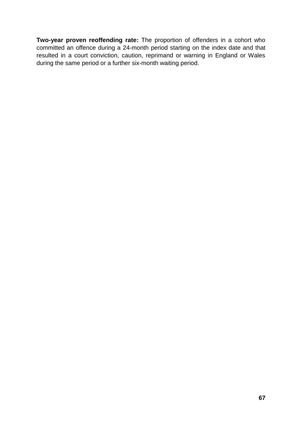**Two-year proven reoffending rate:** The proportion of offenders in a cohort who committed an offence during a 24-month period starting on the index date and that resulted in a court conviction, caution, reprimand or warning in England or Wales during the same period or a further six-month waiting period.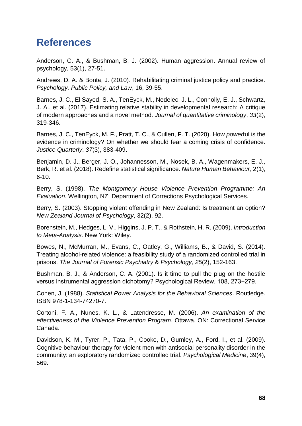# <span id="page-67-0"></span>**References**

Anderson, C. A., & Bushman, B. J. (2002). Human aggression. Annual review of psychology, 53(1), 27-51.

Andrews, D. A. & Bonta, J. (2010). Rehabilitating criminal justice policy and practice. *Psychology, Public Policy, and Law*, 16, 39-55.

Barnes, J. C., El Sayed, S. A., TenEyck, M., Nedelec, J. L., Connolly, E. J., Schwartz, J. A., et al. (2017). Estimating relative stability in developmental research: A critique of modern approaches and a novel method. *Journal of quantitative criminology*, *33*(2), 319-346.

Barnes, J. C., TenEyck, M. F., Pratt, T. C., & Cullen, F. T. (2020). How *power*ful is the evidence in criminology? On whether we should fear a coming crisis of confidence. *Justice Quarterly*, *37*(3), 383-409.

Benjamin, D. J., Berger, J. O., Johannesson, M., Nosek, B. A., Wagenmakers, E. J., Berk, R. et al. (2018). Redefine statistical significance. *Nature Human Behaviour*, 2(1), 6-10.

Berry, S. (1998). *The Montgomery House Violence Prevention Programme: An Evaluation*. Wellington, NZ: Department of Corrections Psychological Services.

Berry, S. (2003). Stopping violent offending in New Zealand: Is treatment an option? *New Zealand Journal of Psychology*, 32(2), 92.

Borenstein, M., Hedges, L. V., Higgins, J. P. T., & Rothstein, H. R. (2009). *Introduction to Meta-Analysis*. New York: Wiley.

Bowes, N., McMurran, M., Evans, C., Oatley, G., Williams, B., & David, S. (2014). Treating alcohol-related violence: a feasibility study of a randomized controlled trial in prisons. *The Journal of Forensic Psychiatry & Psychology*, *25*(2), 152-163.

Bushman, B. J., & Anderson, C. A. (2001). Is it time to pull the plug on the hostile versus instrumental aggression dichotomy? Psychological Review, 108, 273−279.

Cohen, J. (1988). *Statistical Power Analysis for the Behavioral Sciences*. Routledge. ISBN 978-1-134-74270-7.

Cortoni, F. A., Nunes, K. L., & Latendresse, M. (2006). *An examination of the effectiveness of the Violence Prevention Program*. Ottawa, ON: Correctional Service Canada.

Davidson, K. M., Tyrer, P., Tata, P., Cooke, D., Gumley, A., Ford, I., et al. (2009). Cognitive behaviour therapy for violent men with antisocial personality disorder in the community: an exploratory randomized controlled trial. *Psychological Medicine*, 39(4), 569.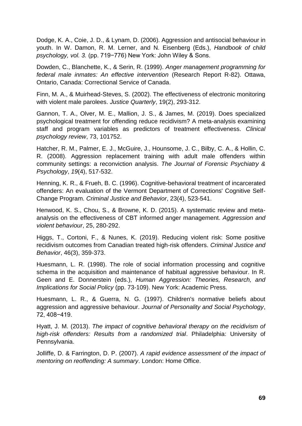Dodge, K. A., Coie, J. D., & Lynam, D. (2006). Aggression and antisocial behaviour in youth. In W. Damon, R. M. Lerner, and N. Eisenberg (Eds.), *Handbook of child psychology, vol. 3.* (pp. 719−776) New York: John Wiley & Sons.

Dowden, C., Blanchette, K., & Serin, R. (1999). *Anger management programming for federal male inmates: An effective intervention* (Research Report R-82). Ottawa, Ontario, Canada: Correctional Service of Canada.

Finn, M. A., & Muirhead-Steves, S. (2002). The effectiveness of electronic monitoring with violent male parolees. *Justice Quarterly*, 19(2), 293-312.

Gannon, T. A., Olver, M. E., Mallion, J. S., & James, M. (2019). Does specialized psychological treatment for offending reduce recidivism? A meta-analysis examining staff and program variables as predictors of treatment effectiveness. *Clinical psychology review*, 73, 101752.

Hatcher, R. M., Palmer, E. J., McGuire, J., Hounsome, J. C., Bilby, C. A., & Hollin, C. R. (2008). Aggression replacement training with adult male offenders within community settings: a reconviction analysis. *The Journal of Forensic Psychiatry & Psychology*, *19*(4), 517-532.

Henning, K. R., & Frueh, B. C. (1996). Cognitive-behavioral treatment of incarcerated offenders: An evaluation of the Vermont Department of Corrections' Cognitive Self-Change Program. *Criminal Justice and Behavior*, 23(4), 523-541.

Henwood, K. S., Chou, S., & Browne, K. D. (2015). A systematic review and metaanalysis on the effectiveness of CBT informed anger management. *Aggression and violent behaviour*, 25, 280-292.

Higgs, T., Cortoni, F., & Nunes, K. (2019). Reducing violent risk: Some positive recidivism outcomes from Canadian treated high-risk offenders. *Criminal Justice and Behavior*, 46(3), 359-373.

Huesmann, L. R. (1998). The role of social information processing and cognitive schema in the acquisition and maintenance of habitual aggressive behaviour. In R. Geen and E. Donnerstein (eds.), *Human Aggression: Theories, Research, and Implications for Social Policy* (pp. 73-109). New York: Academic Press.

Huesmann, L. R., & Guerra, N. G. (1997). Children's normative beliefs about aggression and aggressive behaviour. *Journal of Personality and Social Psychology*, 72, 408−419.

Hyatt, J. M. (2013). *The impact of cognitive behavioral therapy on the recidivism of high-risk offenders: Results from a randomized trial*. Philadelphia: University of Pennsylvania.

Jolliffe, D. & Farrington, D. P. (2007). *A rapid evidence assessment of the impact of mentoring on reoffending: A summary*. London: Home Office.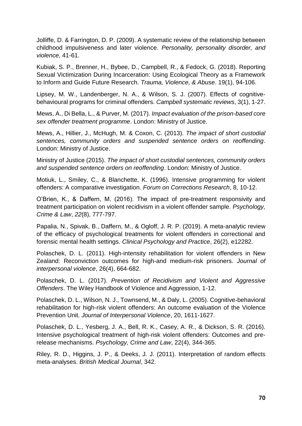Jolliffe, D. & Farrington, D. P. (2009). A systematic review of the relationship between childhood impulsiveness and later violence. *Personality, personality disorder, and violence*, 41-61.

Kubiak, S. P., Brenner, H., Bybee, D., Campbell, R., & Fedock, G. (2018). Reporting Sexual Victimization During Incarceration: Using Ecological Theory as a Framework to Inform and Guide Future Research. *Trauma, Violence, & Abuse*. 19(1), 94-106.

Lipsey, M. W., Landenberger, N. A., & Wilson, S. J. (2007). Effects of cognitive‐ behavioural programs for criminal offenders. *Campbell systematic reviews*, 3(1), 1-27.

Mews, A., Di Bella, L., & Purver, M. (2017). *Impact evaluation of the prison-based core sex offender treatment programme*. London: Ministry of Justice.

Mews, A., Hillier, J., McHugh, M. & Coxon, C. (2013). *The impact of short custodial sentences, community orders and suspended sentence orders on reoffending*. London: Ministry of Justice.

Ministry of Justice (2015). *The impact of short custodial sentences, community orders and suspended sentence orders on reoffending*. London: Ministry of Justice.

Motiuk, L., Smiley, C., & Blanchette, K. (1996). Intensive programming for violent offenders: A comparative investigation. *Forum on Corrections Research*, 8, 10-12.

O'Brien, K., & Daffern, M. (2016). The impact of pre-treatment responsivity and treatment participation on violent recidivism in a violent offender sample. *Psychology, Crime & Law*, *22*(8), 777-797.

Papalia, N., Spivak, B., Daffern, M., & Ogloff, J. R. P. (2019). A meta‐analytic review of the efficacy of psychological treatments for violent offenders in correctional and forensic mental health settings. *Clinical Psychology and Practice*, 26(2), e12282.

Polaschek, D. L. (2011). High-intensity rehabilitation for violent offenders in New Zealand: Reconviction outcomes for high-and medium-risk prisoners. *Journal of interpersonal violence*, 26(4), 664-682.

Polaschek, D. L. (2017). *Prevention of Recidivism and Violent and Aggressive Offenders*. The Wiley Handbook of Violence and Aggression, 1-12.

Polaschek, D. L., Wilson, N. J., Townsend, M., & Daly, L. (2005). Cognitive-behavioral rehabilitation for high-risk violent offenders: An outcome evaluation of the Violence Prevention Unit. *Journal of Interpersonal Violence*, 20, 1611-1627.

Polaschek, D. L., Yesberg, J. A., Bell, R. K., Casey, A. R., & Dickson, S. R. (2016). Intensive psychological treatment of high-risk violent offenders: Outcomes and prerelease mechanisms. *Psychology, Crime and Law*, 22(4), 344-365.

Riley, R. D., Higgins, J. P., & Deeks, J. J. (2011). Interpretation of random effects meta-analyses. *British Medical Journal*, 342.